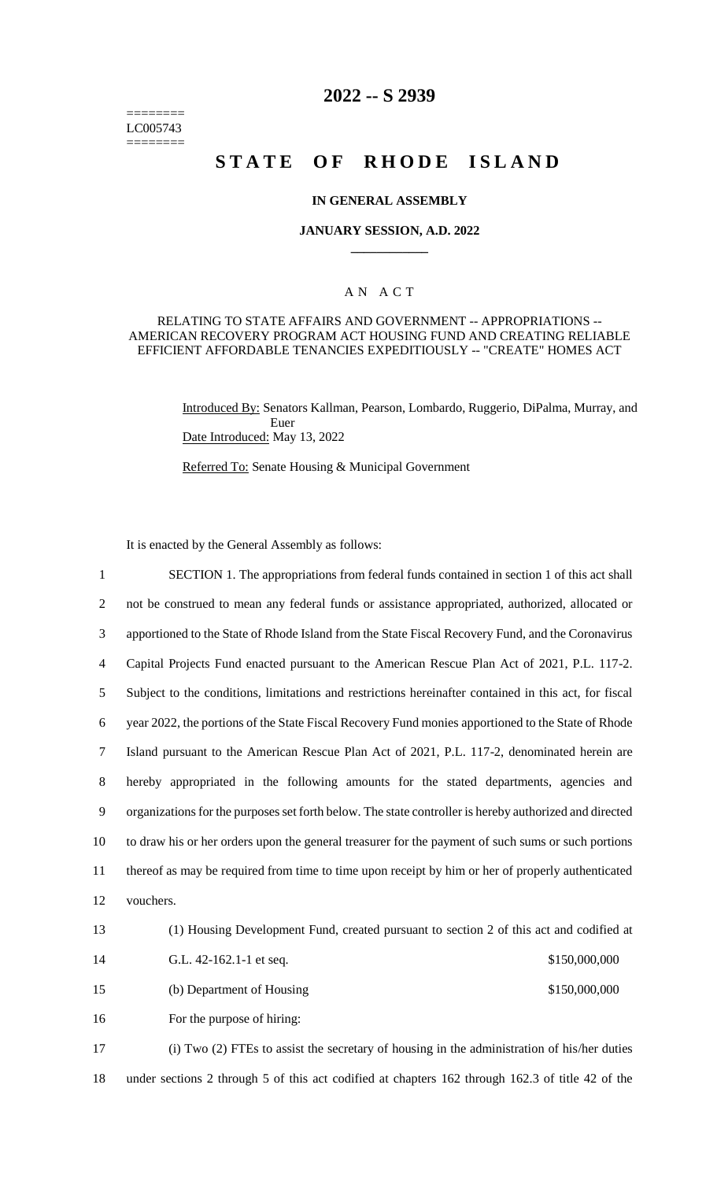======== LC005743 ========

# **2022 -- S 2939**

# **STATE OF RHODE ISLAND**

#### **IN GENERAL ASSEMBLY**

#### **JANUARY SESSION, A.D. 2022 \_\_\_\_\_\_\_\_\_\_\_\_**

#### A N A C T

#### RELATING TO STATE AFFAIRS AND GOVERNMENT -- APPROPRIATIONS -- AMERICAN RECOVERY PROGRAM ACT HOUSING FUND AND CREATING RELIABLE EFFICIENT AFFORDABLE TENANCIES EXPEDITIOUSLY -- "CREATE" HOMES ACT

Introduced By: Senators Kallman, Pearson, Lombardo, Ruggerio, DiPalma, Murray, and Euer Date Introduced: May 13, 2022

Referred To: Senate Housing & Municipal Government

It is enacted by the General Assembly as follows:

 SECTION 1. The appropriations from federal funds contained in section 1 of this act shall not be construed to mean any federal funds or assistance appropriated, authorized, allocated or apportioned to the State of Rhode Island from the State Fiscal Recovery Fund, and the Coronavirus Capital Projects Fund enacted pursuant to the American Rescue Plan Act of 2021, P.L. 117-2. Subject to the conditions, limitations and restrictions hereinafter contained in this act, for fiscal year 2022, the portions of the State Fiscal Recovery Fund monies apportioned to the State of Rhode Island pursuant to the American Rescue Plan Act of 2021, P.L. 117-2, denominated herein are hereby appropriated in the following amounts for the stated departments, agencies and organizations for the purposes set forth below. The state controller is hereby authorized and directed to draw his or her orders upon the general treasurer for the payment of such sums or such portions thereof as may be required from time to time upon receipt by him or her of properly authenticated vouchers. (1) Housing Development Fund, created pursuant to section 2 of this act and codified at G.L. 42-162.1-1 et seq. \$150,000,000 15 (b) Department of Housing \$150,000,000 For the purpose of hiring: (i) Two (2) FTEs to assist the secretary of housing in the administration of his/her duties under sections 2 through 5 of this act codified at chapters 162 through 162.3 of title 42 of the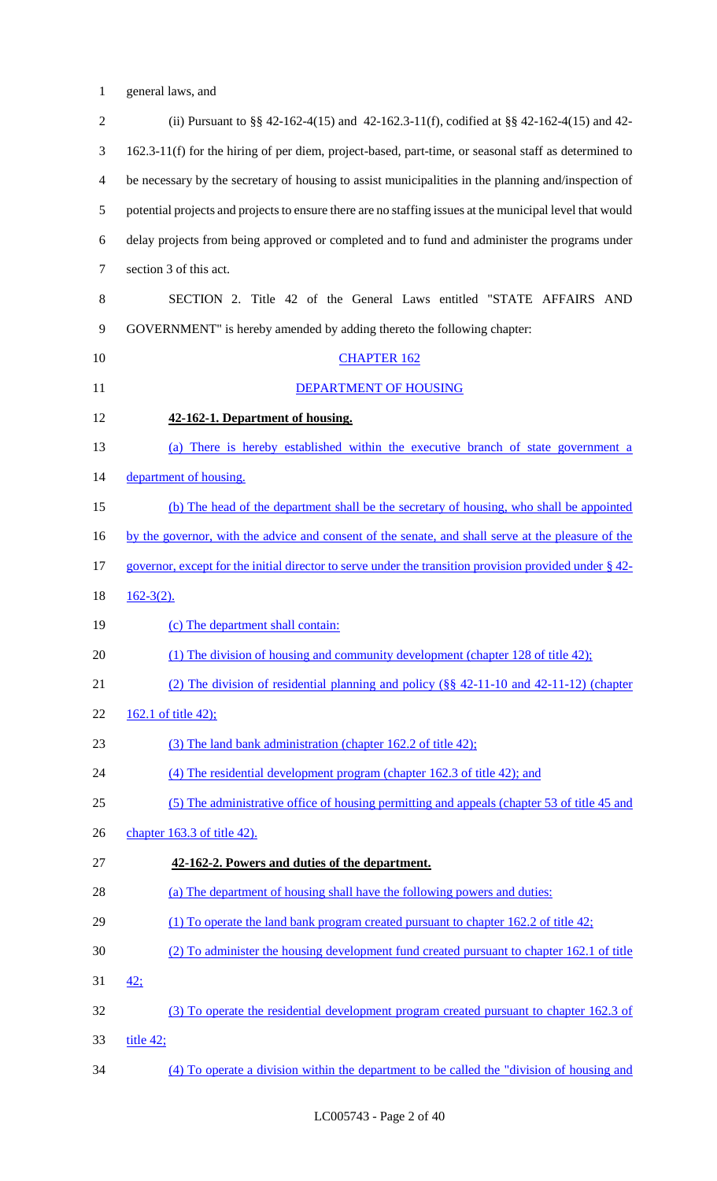1 general laws, and

| $\overline{2}$ | (ii) Pursuant to $\S$ 42-162-4(15) and 42-162.3-11(f), codified at $\S$ 42-162-4(15) and 42-             |
|----------------|----------------------------------------------------------------------------------------------------------|
| 3              | 162.3-11(f) for the hiring of per diem, project-based, part-time, or seasonal staff as determined to     |
| $\overline{4}$ | be necessary by the secretary of housing to assist municipalities in the planning and/inspection of      |
| 5              | potential projects and projects to ensure there are no staffing issues at the municipal level that would |
| 6              | delay projects from being approved or completed and to fund and administer the programs under            |
| $\tau$         | section 3 of this act.                                                                                   |
| 8              | SECTION 2. Title 42 of the General Laws entitled "STATE AFFAIRS AND                                      |
| 9              | GOVERNMENT" is hereby amended by adding thereto the following chapter:                                   |
| 10             | <b>CHAPTER 162</b>                                                                                       |
| 11             | DEPARTMENT OF HOUSING                                                                                    |
| 12             | 42-162-1. Department of housing.                                                                         |
| 13             | (a) There is hereby established within the executive branch of state government a                        |
| 14             | department of housing.                                                                                   |
| 15             | (b) The head of the department shall be the secretary of housing, who shall be appointed                 |
| 16             | by the governor, with the advice and consent of the senate, and shall serve at the pleasure of the       |
| 17             | governor, except for the initial director to serve under the transition provision provided under § 42-   |
| 18             | $162-3(2)$ .                                                                                             |
| 19             | (c) The department shall contain:                                                                        |
| 20             | (1) The division of housing and community development (chapter 128 of title 42);                         |
| 21             | (2) The division of residential planning and policy $(\S$ 42-11-10 and 42-11-12) (chapter                |
| 22             | 162.1 of title 42);                                                                                      |
| 23             | (3) The land bank administration (chapter 162.2 of title 42);                                            |
| 24             | (4) The residential development program (chapter 162.3 of title 42); and                                 |
| 25             | (5) The administrative office of housing permitting and appeals (chapter 53 of title 45 and              |
| 26             | chapter 163.3 of title 42).                                                                              |
| 27             | 42-162-2. Powers and duties of the department.                                                           |
| 28             | (a) The department of housing shall have the following powers and duties:                                |
| 29             | (1) To operate the land bank program created pursuant to chapter 162.2 of title 42;                      |
| 30             | (2) To administer the housing development fund created pursuant to chapter 162.1 of title                |
| 31             | 42:                                                                                                      |
| 32             | (3) To operate the residential development program created pursuant to chapter 162.3 of                  |
| 33             | title $42$ ;                                                                                             |
| 34             | (4) To operate a division within the department to be called the "division of housing and                |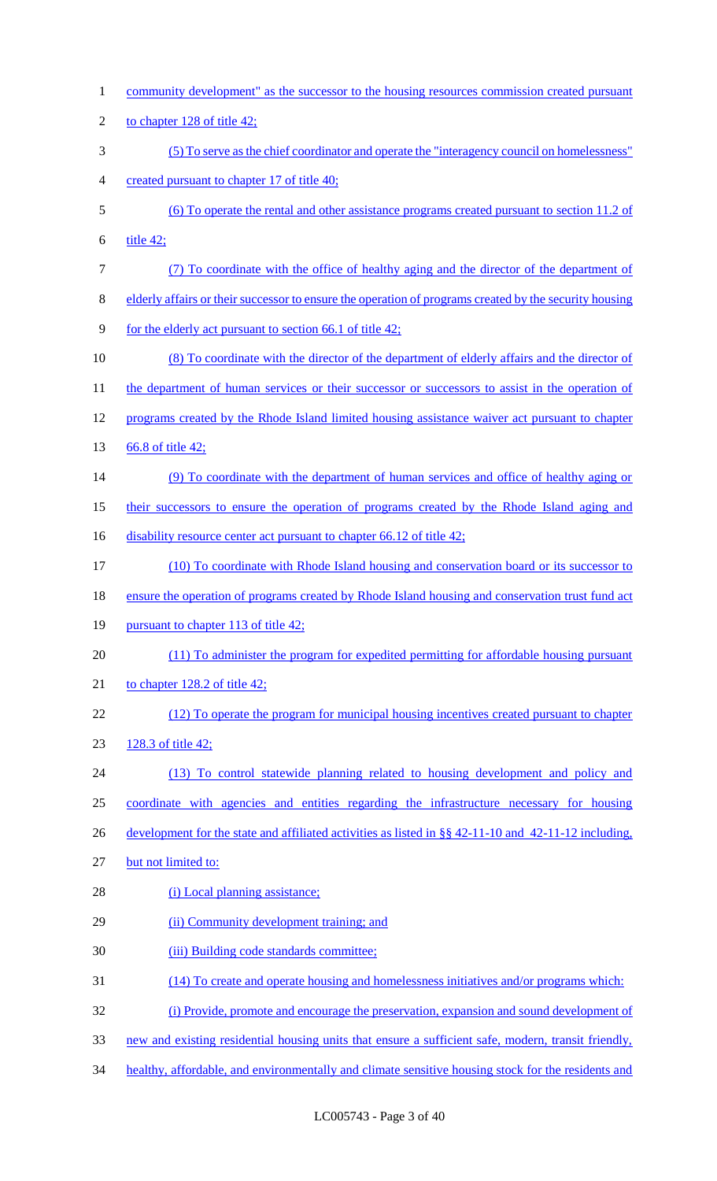| $\mathbf{1}$             | community development" as the successor to the housing resources commission created pursuant             |
|--------------------------|----------------------------------------------------------------------------------------------------------|
| $\overline{2}$           | to chapter 128 of title 42;                                                                              |
| 3                        | (5) To serve as the chief coordinator and operate the "interagency council on homelessness"              |
| $\overline{\mathcal{A}}$ | created pursuant to chapter 17 of title 40;                                                              |
| 5                        | (6) To operate the rental and other assistance programs created pursuant to section 11.2 of              |
| 6                        | title $42$ ;                                                                                             |
| $\tau$                   | (7) To coordinate with the office of healthy aging and the director of the department of                 |
| $8\,$                    | elderly affairs or their successor to ensure the operation of programs created by the security housing   |
| $\mathbf{9}$             | for the elderly act pursuant to section 66.1 of title 42;                                                |
| 10                       | (8) To coordinate with the director of the department of elderly affairs and the director of             |
| 11                       | the department of human services or their successor or successors to assist in the operation of          |
| 12                       | programs created by the Rhode Island limited housing assistance waiver act pursuant to chapter           |
| 13                       | 66.8 of title 42;                                                                                        |
| 14                       | (9) To coordinate with the department of human services and office of healthy aging or                   |
| 15                       | their successors to ensure the operation of programs created by the Rhode Island aging and               |
| 16                       | disability resource center act pursuant to chapter 66.12 of title 42;                                    |
| 17                       | (10) To coordinate with Rhode Island housing and conservation board or its successor to                  |
| 18                       | ensure the operation of programs created by Rhode Island housing and conservation trust fund act         |
| 19                       | pursuant to chapter 113 of title 42;                                                                     |
| 20                       | (11) To administer the program for expedited permitting for affordable housing pursuant                  |
| 21                       | to chapter $128.2$ of title $42$ ;                                                                       |
| 22                       | (12) To operate the program for municipal housing incentives created pursuant to chapter                 |
| 23                       | 128.3 of title 42;                                                                                       |
| 24                       | (13) To control statewide planning related to housing development and policy and                         |
| 25                       | coordinate with agencies and entities regarding the infrastructure necessary for housing                 |
| 26                       | development for the state and affiliated activities as listed in $\S$ § 42-11-10 and 42-11-12 including, |
| 27                       | but not limited to:                                                                                      |
| 28                       | (i) Local planning assistance;                                                                           |
| 29                       | (ii) Community development training; and                                                                 |
| 30                       | (iii) Building code standards committee;                                                                 |
| 31                       | (14) To create and operate housing and homelessness initiatives and/or programs which:                   |
| 32                       | (i) Provide, promote and encourage the preservation, expansion and sound development of                  |
| 33                       | new and existing residential housing units that ensure a sufficient safe, modern, transit friendly,      |
| 34                       | healthy, affordable, and environmentally and climate sensitive housing stock for the residents and       |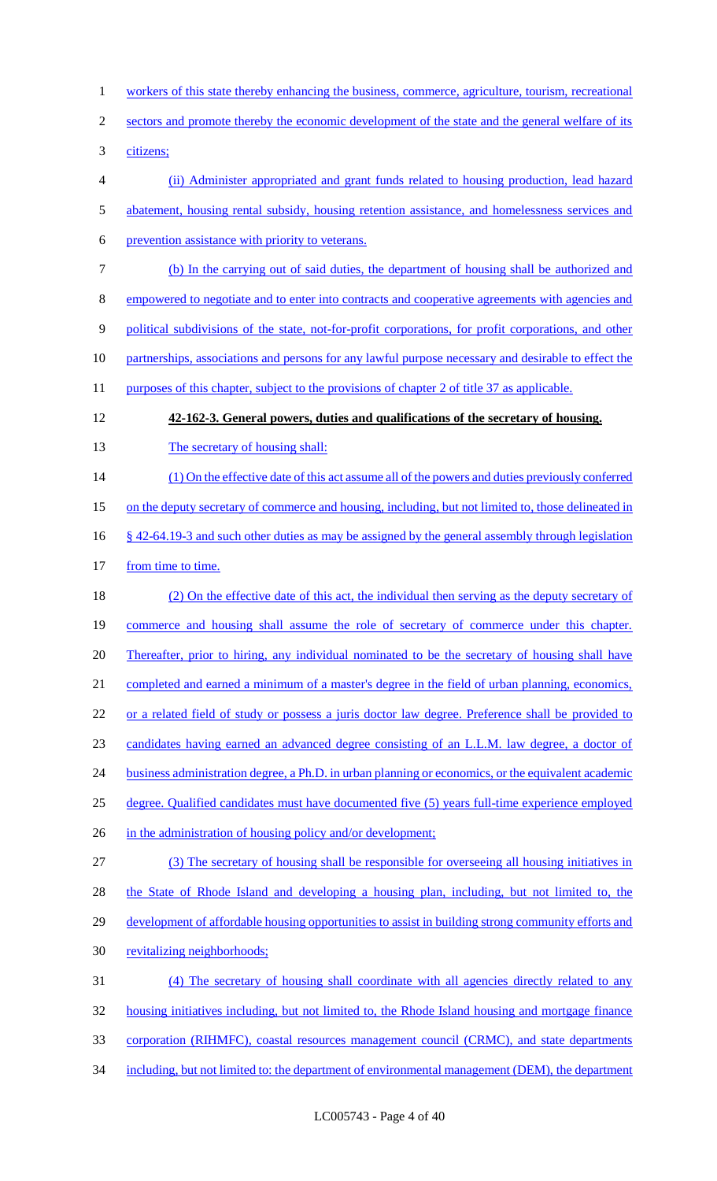workers of this state thereby enhancing the business, commerce, agriculture, tourism, recreational 2 sectors and promote thereby the economic development of the state and the general welfare of its citizens; (ii) Administer appropriated and grant funds related to housing production, lead hazard abatement, housing rental subsidy, housing retention assistance, and homelessness services and prevention assistance with priority to veterans. (b) In the carrying out of said duties, the department of housing shall be authorized and empowered to negotiate and to enter into contracts and cooperative agreements with agencies and political subdivisions of the state, not-for-profit corporations, for profit corporations, and other partnerships, associations and persons for any lawful purpose necessary and desirable to effect the 11 purposes of this chapter, subject to the provisions of chapter 2 of title 37 as applicable. **42-162-3. General powers, duties and qualifications of the secretary of housing.** 13 The secretary of housing shall: 14 (1) On the effective date of this act assume all of the powers and duties previously conferred on the deputy secretary of commerce and housing, including, but not limited to, those delineated in § 42-64.19-3 and such other duties as may be assigned by the general assembly through legislation 17 from time to time. (2) On the effective date of this act, the individual then serving as the deputy secretary of commerce and housing shall assume the role of secretary of commerce under this chapter. 20 Thereafter, prior to hiring, any individual nominated to be the secretary of housing shall have completed and earned a minimum of a master's degree in the field of urban planning, economics, or a related field of study or possess a juris doctor law degree. Preference shall be provided to candidates having earned an advanced degree consisting of an L.L.M. law degree, a doctor of 24 business administration degree, a Ph.D. in urban planning or economics, or the equivalent academic degree. Qualified candidates must have documented five (5) years full-time experience employed 26 in the administration of housing policy and/or development; (3) The secretary of housing shall be responsible for overseeing all housing initiatives in 28 the State of Rhode Island and developing a housing plan, including, but not limited to, the 29 development of affordable housing opportunities to assist in building strong community efforts and 30 revitalizing neighborhoods; (4) The secretary of housing shall coordinate with all agencies directly related to any housing initiatives including, but not limited to, the Rhode Island housing and mortgage finance corporation (RIHMFC), coastal resources management council (CRMC), and state departments 34 including, but not limited to: the department of environmental management (DEM), the department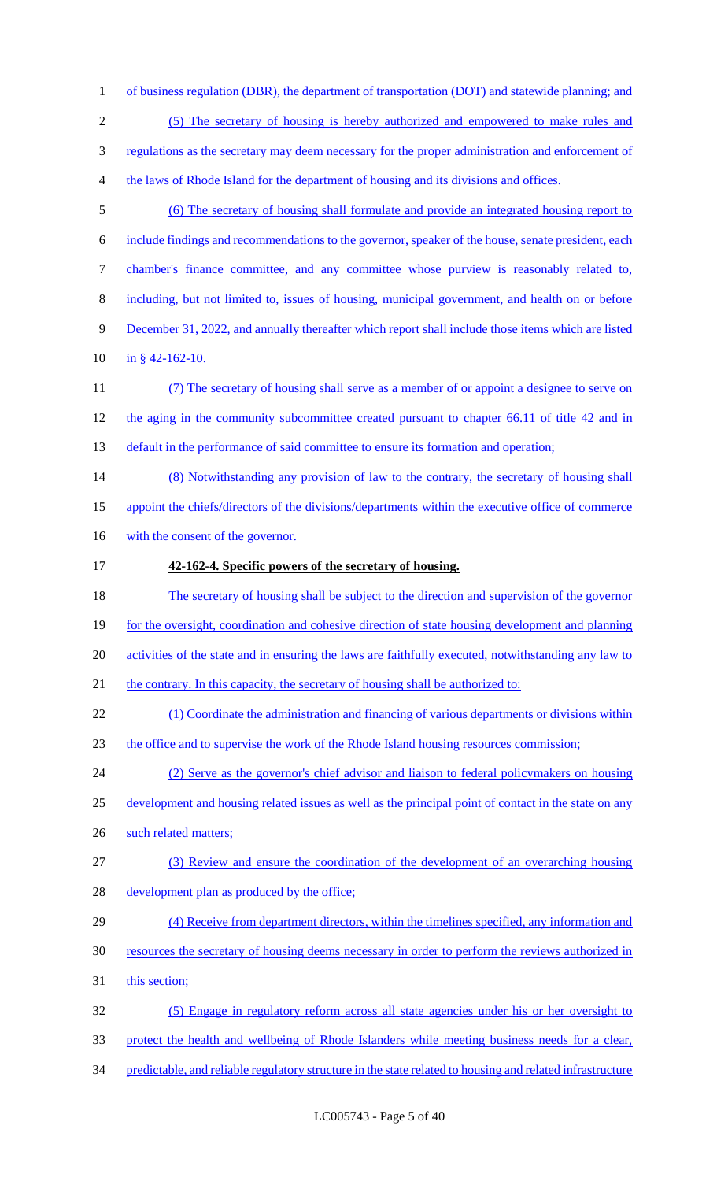| $\mathbf{1}$   | of business regulation (DBR), the department of transportation (DOT) and statewide planning; and          |
|----------------|-----------------------------------------------------------------------------------------------------------|
| $\sqrt{2}$     | (5) The secretary of housing is hereby authorized and empowered to make rules and                         |
| 3              | regulations as the secretary may deem necessary for the proper administration and enforcement of          |
| $\overline{4}$ | the laws of Rhode Island for the department of housing and its divisions and offices.                     |
| 5              | (6) The secretary of housing shall formulate and provide an integrated housing report to                  |
| 6              | include findings and recommendations to the governor, speaker of the house, senate president, each        |
| $\tau$         | chamber's finance committee, and any committee whose purview is reasonably related to,                    |
| $8\,$          | including, but not limited to, issues of housing, municipal government, and health on or before           |
| 9              | December 31, 2022, and annually thereafter which report shall include those items which are listed        |
| 10             | in § $42 - 162 - 10$ .                                                                                    |
| 11             | (7) The secretary of housing shall serve as a member of or appoint a designee to serve on                 |
| 12             | the aging in the community subcommittee created pursuant to chapter 66.11 of title 42 and in              |
| 13             | default in the performance of said committee to ensure its formation and operation;                       |
| 14             | (8) Notwithstanding any provision of law to the contrary, the secretary of housing shall                  |
| 15             | appoint the chiefs/directors of the divisions/departments within the executive office of commerce         |
| 16             | with the consent of the governor.                                                                         |
| 17             | 42-162-4. Specific powers of the secretary of housing.                                                    |
| 18             | The secretary of housing shall be subject to the direction and supervision of the governor                |
| 19             | for the oversight, coordination and cohesive direction of state housing development and planning          |
| 20             | activities of the state and in ensuring the laws are faithfully executed, notwithstanding any law to      |
| 21             | the contrary. In this capacity, the secretary of housing shall be authorized to:                          |
| 22             | (1) Coordinate the administration and financing of various departments or divisions within                |
| 23             | the office and to supervise the work of the Rhode Island housing resources commission;                    |
| 24             | (2) Serve as the governor's chief advisor and liaison to federal policymakers on housing                  |
| 25             | development and housing related issues as well as the principal point of contact in the state on any      |
| 26             | such related matters;                                                                                     |
| 27             | (3) Review and ensure the coordination of the development of an overarching housing                       |
| 28             | development plan as produced by the office;                                                               |
| 29             | (4) Receive from department directors, within the timelines specified, any information and                |
| 30             | resources the secretary of housing deems necessary in order to perform the reviews authorized in          |
| 31             | this section;                                                                                             |
| 32             | (5) Engage in regulatory reform across all state agencies under his or her oversight to                   |
| 33             | protect the health and wellbeing of Rhode Islanders while meeting business needs for a clear,             |
| 34             | predictable, and reliable regulatory structure in the state related to housing and related infrastructure |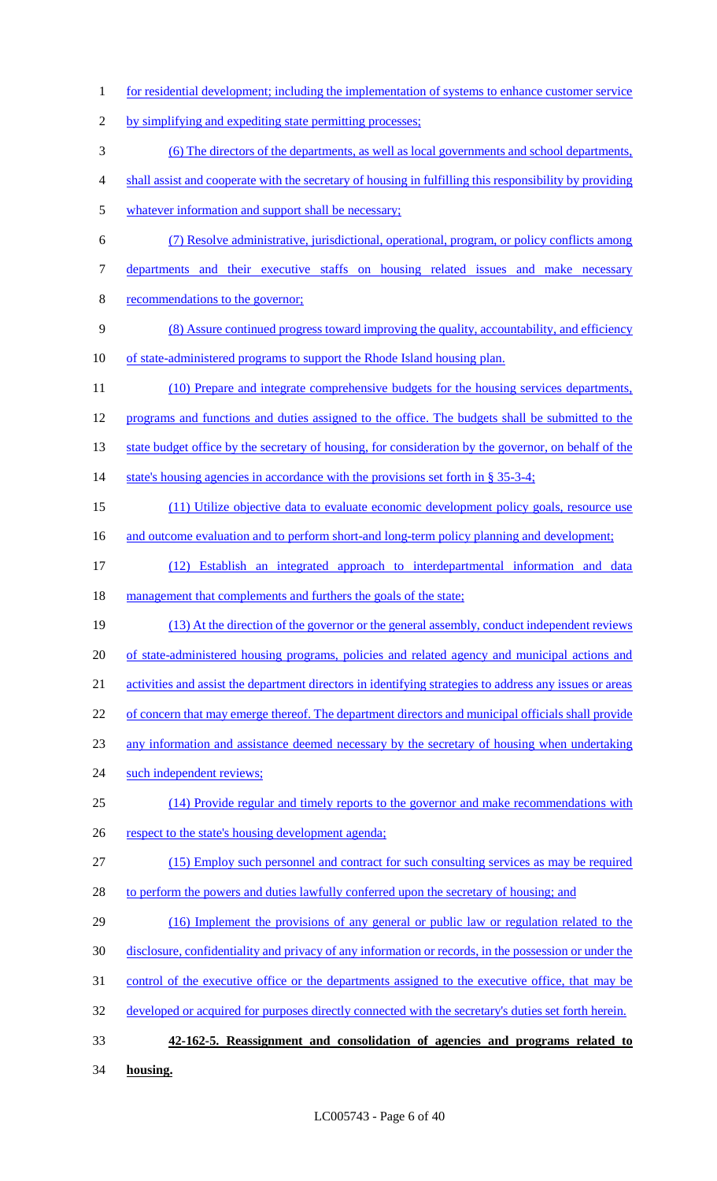1 for residential development; including the implementation of systems to enhance customer service 2 by simplifying and expediting state permitting processes; 3 (6) The directors of the departments, as well as local governments and school departments, 4 shall assist and cooperate with the secretary of housing in fulfilling this responsibility by providing 5 whatever information and support shall be necessary; 6 (7) Resolve administrative, jurisdictional, operational, program, or policy conflicts among 7 departments and their executive staffs on housing related issues and make necessary 8 recommendations to the governor; 9 (8) Assure continued progress toward improving the quality, accountability, and efficiency 10 of state-administered programs to support the Rhode Island housing plan. 11 (10) Prepare and integrate comprehensive budgets for the housing services departments, 12 programs and functions and duties assigned to the office. The budgets shall be submitted to the 13 state budget office by the secretary of housing, for consideration by the governor, on behalf of the 14 state's housing agencies in accordance with the provisions set forth in § 35-3-4; 15 (11) Utilize objective data to evaluate economic development policy goals, resource use 16 and outcome evaluation and to perform short-and long-term policy planning and development; 17 (12) Establish an integrated approach to interdepartmental information and data 18 management that complements and furthers the goals of the state; 19 (13) At the direction of the governor or the general assembly, conduct independent reviews 20 of state-administered housing programs, policies and related agency and municipal actions and 21 activities and assist the department directors in identifying strategies to address any issues or areas 22 of concern that may emerge thereof. The department directors and municipal officials shall provide 23 any information and assistance deemed necessary by the secretary of housing when undertaking 24 such independent reviews; 25 (14) Provide regular and timely reports to the governor and make recommendations with 26 respect to the state's housing development agenda; 27 (15) Employ such personnel and contract for such consulting services as may be required 28 to perform the powers and duties lawfully conferred upon the secretary of housing; and 29 (16) Implement the provisions of any general or public law or regulation related to the 30 disclosure, confidentiality and privacy of any information or records, in the possession or under the 31 control of the executive office or the departments assigned to the executive office, that may be 32 developed or acquired for purposes directly connected with the secretary's duties set forth herein. 33 **42-162-5. Reassignment and consolidation of agencies and programs related to**  34 **housing.**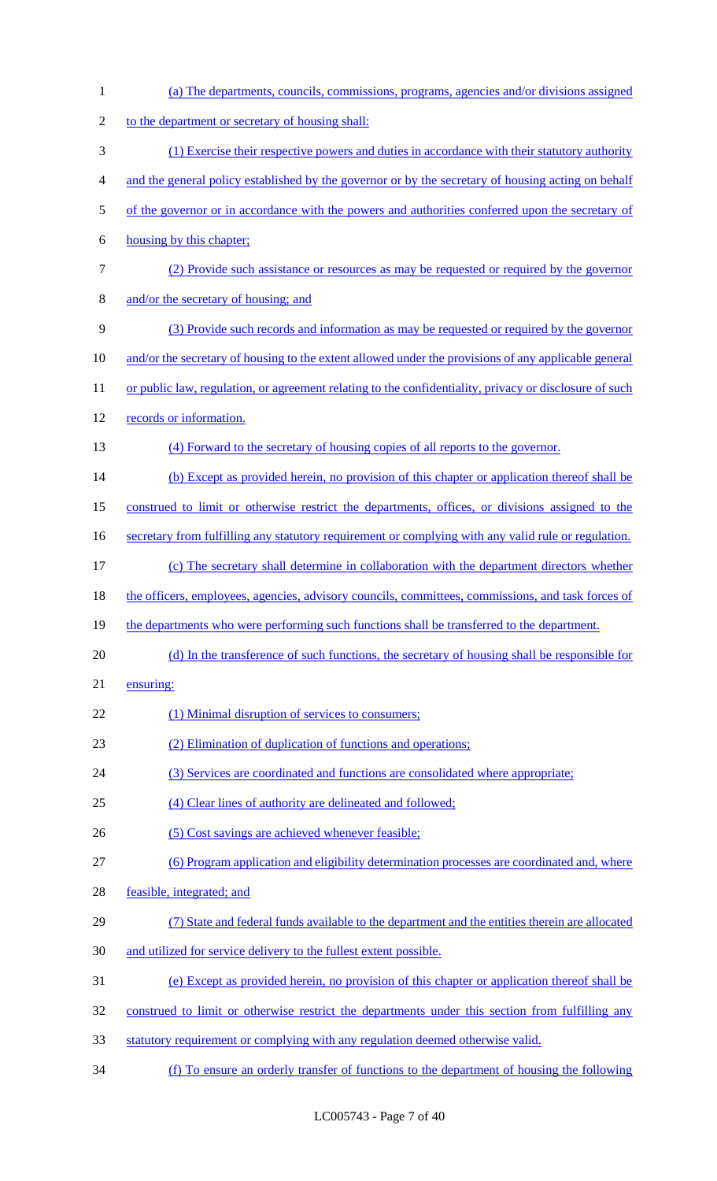| $\mathbf{1}$   | (a) The departments, councils, commissions, programs, agencies and/or divisions assigned               |
|----------------|--------------------------------------------------------------------------------------------------------|
| $\sqrt{2}$     | to the department or secretary of housing shall:                                                       |
| 3              | (1) Exercise their respective powers and duties in accordance with their statutory authority           |
| $\overline{4}$ | and the general policy established by the governor or by the secretary of housing acting on behalf     |
| $\mathfrak{S}$ | of the governor or in accordance with the powers and authorities conferred upon the secretary of       |
| 6              | housing by this chapter;                                                                               |
| $\tau$         | (2) Provide such assistance or resources as may be requested or required by the governor               |
| $8\,$          | and/or the secretary of housing; and                                                                   |
| 9              | (3) Provide such records and information as may be requested or required by the governor               |
| 10             | and/or the secretary of housing to the extent allowed under the provisions of any applicable general   |
| 11             | or public law, regulation, or agreement relating to the confidentiality, privacy or disclosure of such |
| 12             | records or information.                                                                                |
| 13             | (4) Forward to the secretary of housing copies of all reports to the governor.                         |
| 14             | (b) Except as provided herein, no provision of this chapter or application thereof shall be            |
| 15             | construed to limit or otherwise restrict the departments, offices, or divisions assigned to the        |
| 16             | secretary from fulfilling any statutory requirement or complying with any valid rule or regulation.    |
| 17             | (c) The secretary shall determine in collaboration with the department directors whether               |
| 18             | the officers, employees, agencies, advisory councils, committees, commissions, and task forces of      |
| 19             | the departments who were performing such functions shall be transferred to the department.             |
| 20             | (d) In the transference of such functions, the secretary of housing shall be responsible for           |
| 21             | ensuring:                                                                                              |
| 22             | (1) Minimal disruption of services to consumers;                                                       |
| 23             | (2) Elimination of duplication of functions and operations;                                            |
| 24             | (3) Services are coordinated and functions are consolidated where appropriate;                         |
| 25             | (4) Clear lines of authority are delineated and followed;                                              |
| 26             | (5) Cost savings are achieved whenever feasible;                                                       |
| 27             | (6) Program application and eligibility determination processes are coordinated and, where             |
| 28             | feasible, integrated; and                                                                              |
| 29             | (7) State and federal funds available to the department and the entities therein are allocated         |
| 30             | and utilized for service delivery to the fullest extent possible.                                      |
| 31             | (e) Except as provided herein, no provision of this chapter or application thereof shall be            |
| 32             | construed to limit or otherwise restrict the departments under this section from fulfilling any        |
| 33             | statutory requirement or complying with any regulation deemed otherwise valid.                         |
| 34             | (f) To ensure an orderly transfer of functions to the department of housing the following              |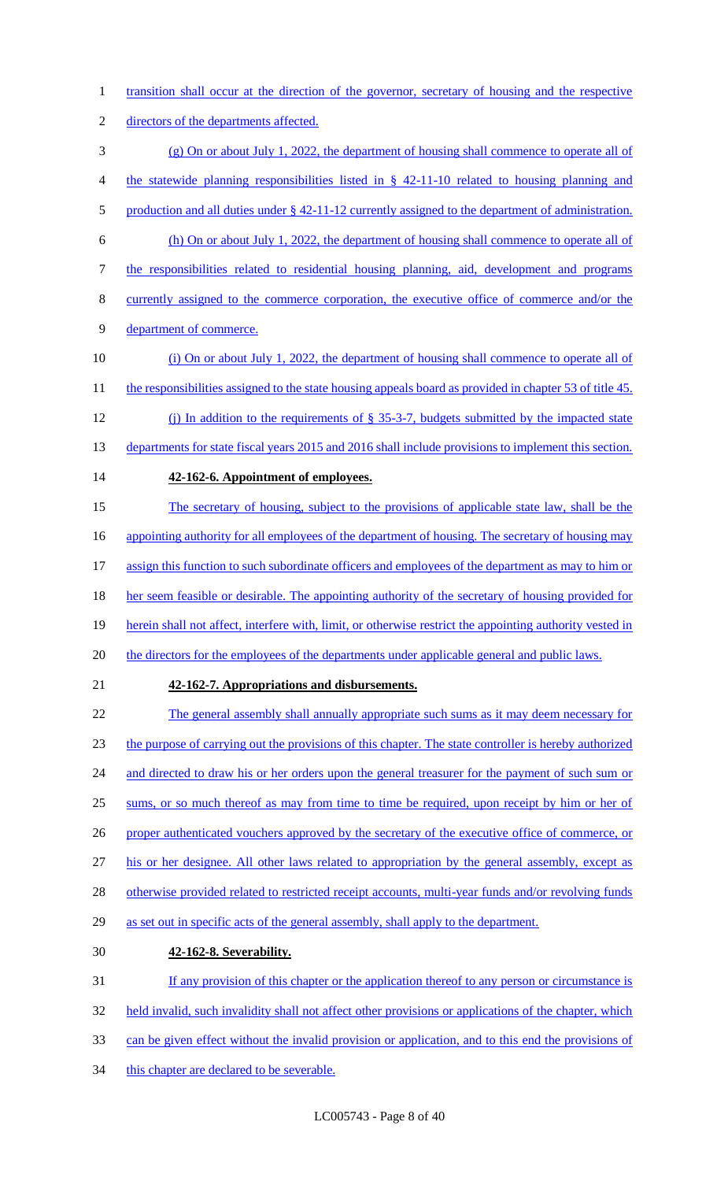1 transition shall occur at the direction of the governor, secretary of housing and the respective 2 directors of the departments affected. 3 (g) On or about July 1, 2022, the department of housing shall commence to operate all of 4 the statewide planning responsibilities listed in § 42-11-10 related to housing planning and 5 production and all duties under § 42-11-12 currently assigned to the department of administration. 6 (h) On or about July 1, 2022, the department of housing shall commence to operate all of 7 the responsibilities related to residential housing planning, aid, development and programs 8 currently assigned to the commerce corporation, the executive office of commerce and/or the 9 department of commerce. 10 (i) On or about July 1, 2022, the department of housing shall commence to operate all of 11 the responsibilities assigned to the state housing appeals board as provided in chapter 53 of title 45. 12 (j) In addition to the requirements of § 35-3-7, budgets submitted by the impacted state 13 departments for state fiscal years 2015 and 2016 shall include provisions to implement this section. 14 **42-162-6. Appointment of employees.** 15 The secretary of housing, subject to the provisions of applicable state law, shall be the 16 appointing authority for all employees of the department of housing. The secretary of housing may 17 assign this function to such subordinate officers and employees of the department as may to him or 18 her seem feasible or desirable. The appointing authority of the secretary of housing provided for 19 herein shall not affect, interfere with, limit, or otherwise restrict the appointing authority vested in 20 the directors for the employees of the departments under applicable general and public laws. 21 **42-162-7. Appropriations and disbursements.** 22 The general assembly shall annually appropriate such sums as it may deem necessary for 23 the purpose of carrying out the provisions of this chapter. The state controller is hereby authorized 24 and directed to draw his or her orders upon the general treasurer for the payment of such sum or 25 sums, or so much thereof as may from time to time be required, upon receipt by him or her of 26 proper authenticated vouchers approved by the secretary of the executive office of commerce, or 27 his or her designee. All other laws related to appropriation by the general assembly, except as 28 otherwise provided related to restricted receipt accounts, multi-year funds and/or revolving funds 29 as set out in specific acts of the general assembly, shall apply to the department. 30 **42-162-8. Severability.** 31 If any provision of this chapter or the application thereof to any person or circumstance is 32 held invalid, such invalidity shall not affect other provisions or applications of the chapter, which 33 can be given effect without the invalid provision or application, and to this end the provisions of 34 this chapter are declared to be severable.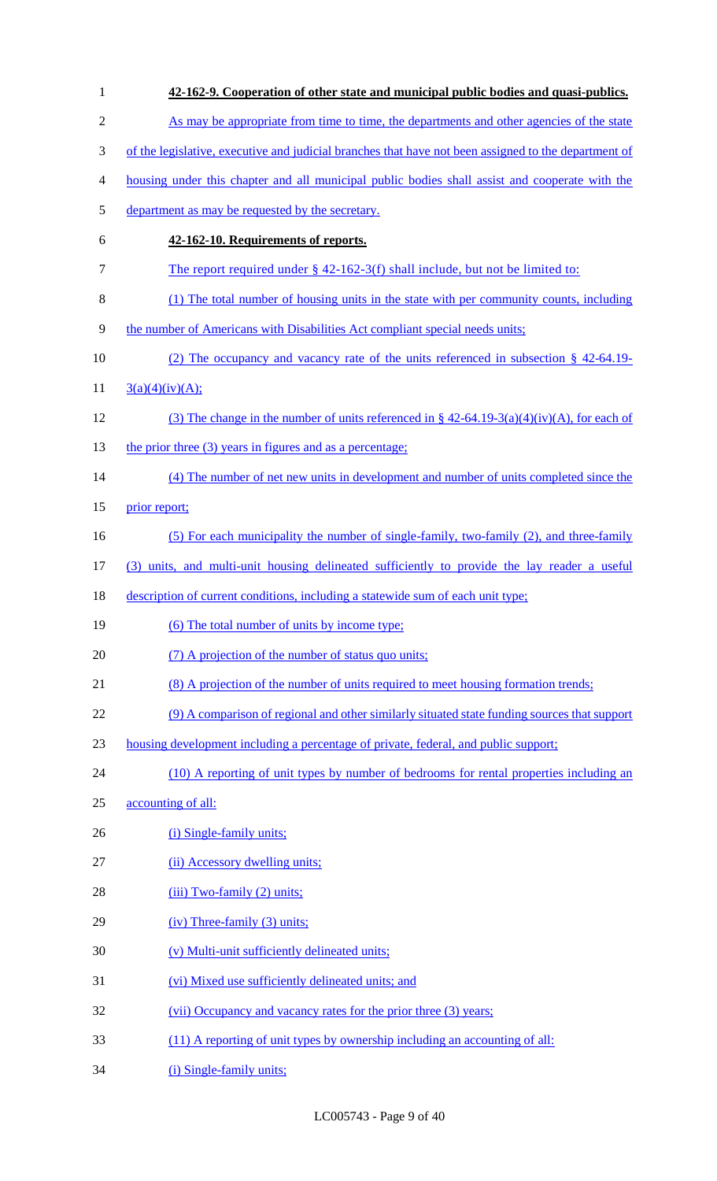| $\mathbf{1}$   | 42-162-9. Cooperation of other state and municipal public bodies and quasi-publics.                  |
|----------------|------------------------------------------------------------------------------------------------------|
| $\overline{2}$ | As may be appropriate from time to time, the departments and other agencies of the state             |
| 3              | of the legislative, executive and judicial branches that have not been assigned to the department of |
| 4              | housing under this chapter and all municipal public bodies shall assist and cooperate with the       |
| 5              | department as may be requested by the secretary.                                                     |
| 6              | 42-162-10. Requirements of reports.                                                                  |
| 7              | The report required under $\S$ 42-162-3(f) shall include, but not be limited to:                     |
| 8              | (1) The total number of housing units in the state with per community counts, including              |
| 9              | the number of Americans with Disabilities Act compliant special needs units;                         |
| 10             | (2) The occupancy and vacancy rate of the units referenced in subsection $\S$ 42-64.19-              |
| 11             | 3(a)(4)(iv)(A);                                                                                      |
| 12             | (3) The change in the number of units referenced in § $42-64.19-3(a)(4)(iv)(A)$ , for each of        |
| 13             | the prior three (3) years in figures and as a percentage;                                            |
| 14             | (4) The number of net new units in development and number of units completed since the               |
| 15             | prior report;                                                                                        |
| 16             | (5) For each municipality the number of single-family, two-family (2), and three-family              |
| 17             | (3) units, and multi-unit housing delineated sufficiently to provide the lay reader a useful         |
| 18             | description of current conditions, including a statewide sum of each unit type;                      |
| 19             | (6) The total number of units by income type;                                                        |
| 20             | (7) A projection of the number of status quo units;                                                  |
| 21             | (8) A projection of the number of units required to meet housing formation trends;                   |
| 22             | (9) A comparison of regional and other similarly situated state funding sources that support         |
| 23             | housing development including a percentage of private, federal, and public support;                  |
| 24             | (10) A reporting of unit types by number of bedrooms for rental properties including an              |
| 25             | accounting of all:                                                                                   |
| 26             | (i) Single-family units;                                                                             |
| 27             | (ii) Accessory dwelling units;                                                                       |
| 28             | $(iii) Two-family (2) units;$                                                                        |
| 29             | $(iv)$ Three-family $(3)$ units;                                                                     |
| 30             | (v) Multi-unit sufficiently delineated units;                                                        |
| 31             | (vi) Mixed use sufficiently delineated units; and                                                    |
| 32             | (vii) Occupancy and vacancy rates for the prior three (3) years;                                     |
| 33             | (11) A reporting of unit types by ownership including an accounting of all:                          |
| 34             | (i) Single-family units;                                                                             |

LC005743 - Page 9 of 40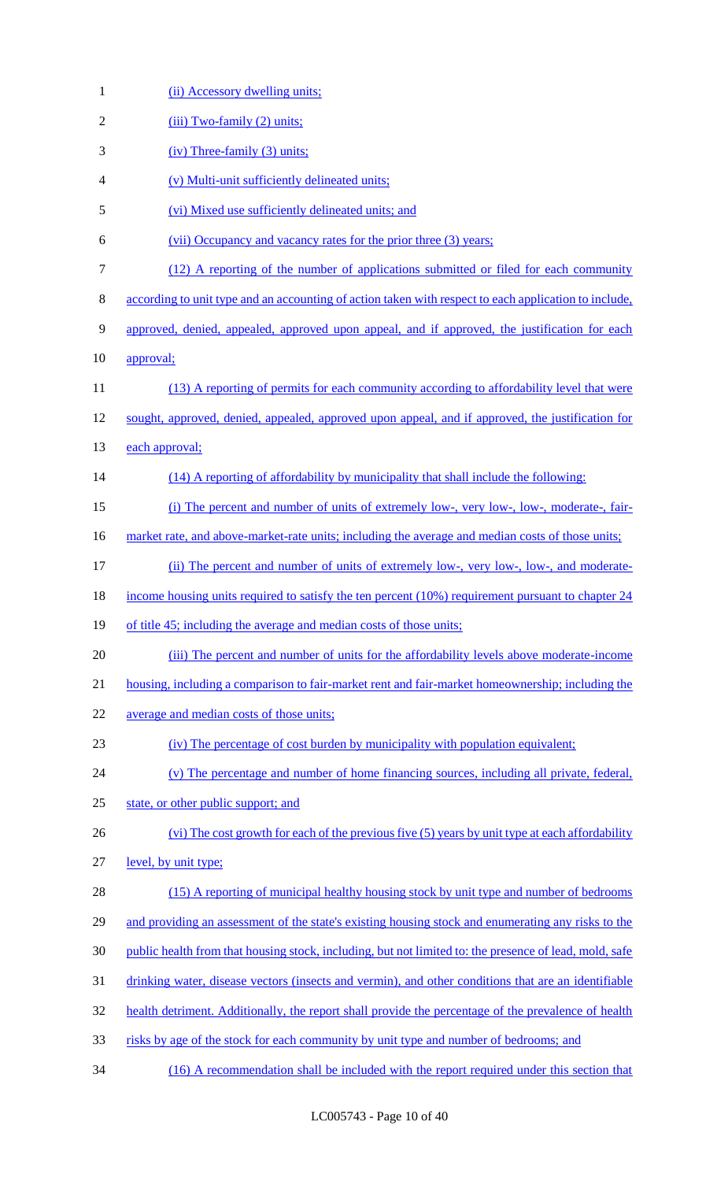| $\mathbf{1}$   | (ii) Accessory dwelling units:                                                                         |
|----------------|--------------------------------------------------------------------------------------------------------|
| $\overline{2}$ | $(iii) Two-family (2) units;$                                                                          |
| 3              | $(iv)$ Three-family $(3)$ units;                                                                       |
| $\overline{4}$ | (v) Multi-unit sufficiently delineated units;                                                          |
| 5              | (vi) Mixed use sufficiently delineated units; and                                                      |
| 6              | (vii) Occupancy and vacancy rates for the prior three (3) years;                                       |
| 7              | (12) A reporting of the number of applications submitted or filed for each community                   |
| $\,8\,$        | according to unit type and an accounting of action taken with respect to each application to include,  |
| 9              | approved, denied, appealed, approved upon appeal, and if approved, the justification for each          |
| 10             | approval;                                                                                              |
| 11             | (13) A reporting of permits for each community according to affordability level that were              |
| 12             | sought, approved, denied, appealed, approved upon appeal, and if approved, the justification for       |
| 13             | each approval;                                                                                         |
| 14             | (14) A reporting of affordability by municipality that shall include the following:                    |
| 15             | (i) The percent and number of units of extremely low-, very low-, low-, moderate-, fair-               |
| 16             | market rate, and above-market-rate units; including the average and median costs of those units;       |
| 17             | (ii) The percent and number of units of extremely low-, very low-, low-, and moderate-                 |
| 18             | income housing units required to satisfy the ten percent (10%) requirement pursuant to chapter 24      |
| 19             | of title 45; including the average and median costs of those units;                                    |
| 20             | (iii) The percent and number of units for the affordability levels above moderate-income               |
| 21             | housing, including a comparison to fair-market rent and fair-market homeownership; including the       |
| 22             | average and median costs of those units;                                                               |
| 23             | (iv) The percentage of cost burden by municipality with population equivalent;                         |
| 24             | (v) The percentage and number of home financing sources, including all private, federal,               |
| 25             | state, or other public support; and                                                                    |
| 26             | (vi) The cost growth for each of the previous five (5) years by unit type at each affordability        |
| 27             | level, by unit type;                                                                                   |
| 28             | (15) A reporting of municipal healthy housing stock by unit type and number of bedrooms                |
| 29             | and providing an assessment of the state's existing housing stock and enumerating any risks to the     |
| 30             | public health from that housing stock, including, but not limited to: the presence of lead, mold, safe |
| 31             | drinking water, disease vectors (insects and vermin), and other conditions that are an identifiable    |
| 32             | health detriment. Additionally, the report shall provide the percentage of the prevalence of health    |
| 33             | risks by age of the stock for each community by unit type and number of bedrooms; and                  |
| 34             | (16) A recommendation shall be included with the report required under this section that               |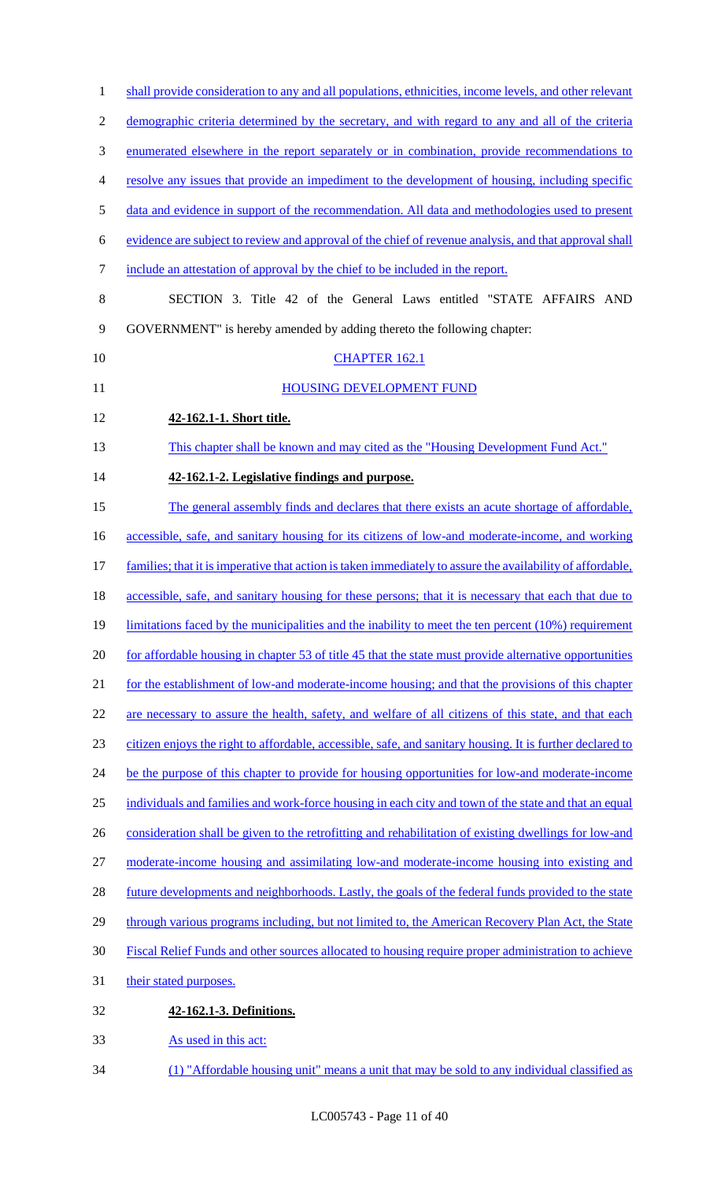| $\mathbf{1}$   | shall provide consideration to any and all populations, ethnicities, income levels, and other relevant     |
|----------------|------------------------------------------------------------------------------------------------------------|
| $\mathbf{2}$   | demographic criteria determined by the secretary, and with regard to any and all of the criteria           |
| 3              | enumerated elsewhere in the report separately or in combination, provide recommendations to                |
| $\overline{4}$ | resolve any issues that provide an impediment to the development of housing, including specific            |
| 5              | data and evidence in support of the recommendation. All data and methodologies used to present             |
| 6              | evidence are subject to review and approval of the chief of revenue analysis, and that approval shall      |
| $\tau$         | include an attestation of approval by the chief to be included in the report.                              |
| $8\,$          | SECTION 3. Title 42 of the General Laws entitled "STATE AFFAIRS AND                                        |
| 9              | GOVERNMENT" is hereby amended by adding thereto the following chapter:                                     |
| 10             | <b>CHAPTER 162.1</b>                                                                                       |
| 11             | <b>HOUSING DEVELOPMENT FUND</b>                                                                            |
| 12             | 42-162.1-1. Short title.                                                                                   |
| 13             | This chapter shall be known and may cited as the "Housing Development Fund Act."                           |
| 14             | 42-162.1-2. Legislative findings and purpose.                                                              |
| 15             | The general assembly finds and declares that there exists an acute shortage of affordable,                 |
| 16             | accessible, safe, and sanitary housing for its citizens of low-and moderate-income, and working            |
| 17             | families; that it is imperative that action is taken immediately to assure the availability of affordable, |
| 18             | accessible, safe, and sanitary housing for these persons; that it is necessary that each that due to       |
| 19             | limitations faced by the municipalities and the inability to meet the ten percent $(10\%)$ requirement     |
| 20             | for affordable housing in chapter 53 of title 45 that the state must provide alternative opportunities     |
| 21             | for the establishment of low-and moderate-income housing; and that the provisions of this chapter          |
| 22             | are necessary to assure the health, safety, and welfare of all citizens of this state, and that each       |
| 23             | citizen enjoys the right to affordable, accessible, safe, and sanitary housing. It is further declared to  |
| 24             | be the purpose of this chapter to provide for housing opportunities for low-and moderate-income            |
| 25             | individuals and families and work-force housing in each city and town of the state and that an equal       |
| 26             | consideration shall be given to the retrofitting and rehabilitation of existing dwellings for low-and      |
| 27             | moderate-income housing and assimilating low-and moderate-income housing into existing and                 |
| 28             | future developments and neighborhoods. Lastly, the goals of the federal funds provided to the state        |
| 29             | through various programs including, but not limited to, the American Recovery Plan Act, the State          |
| 30             | Fiscal Relief Funds and other sources allocated to housing require proper administration to achieve        |
| 31             | their stated purposes.                                                                                     |
| 32             | 42-162.1-3. Definitions.                                                                                   |
| 33             | As used in this act:                                                                                       |
| 34             | (1) "Affordable housing unit" means a unit that may be sold to any individual classified as                |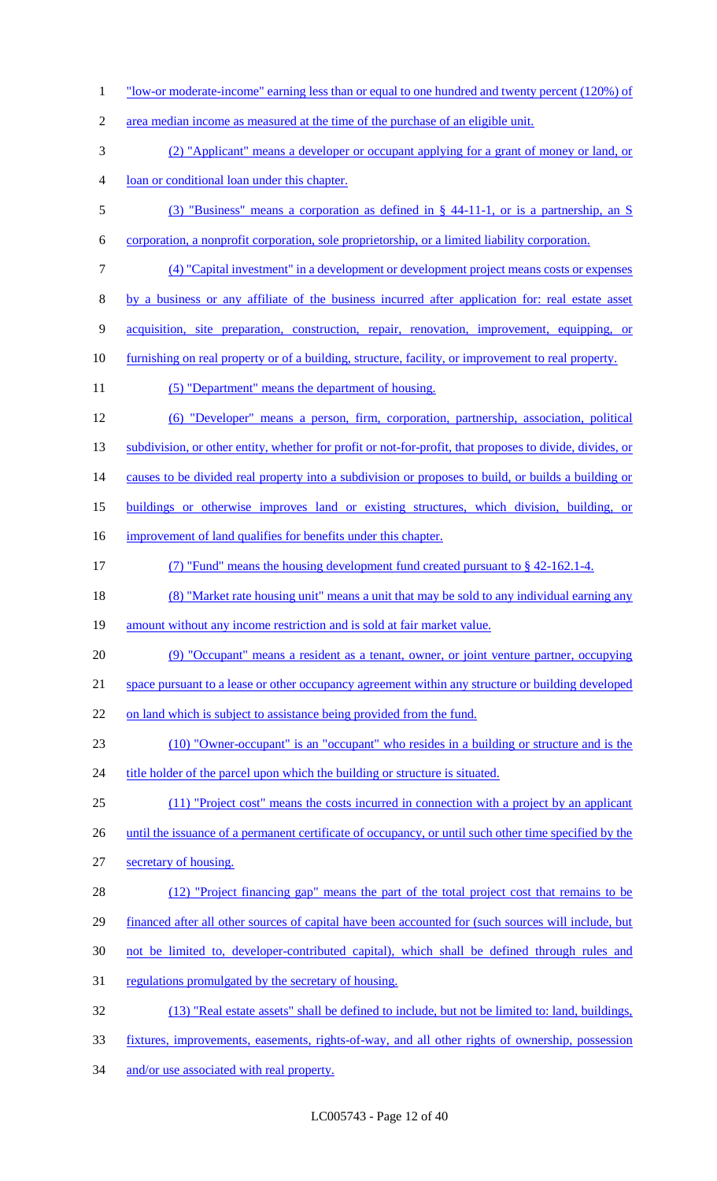| $\mathbf{1}$   | "low-or moderate-income" earning less than or equal to one hundred and twenty percent (120%) of            |
|----------------|------------------------------------------------------------------------------------------------------------|
| $\overline{2}$ | area median income as measured at the time of the purchase of an eligible unit.                            |
| 3              | (2) "Applicant" means a developer or occupant applying for a grant of money or land, or                    |
| $\overline{4}$ | loan or conditional loan under this chapter.                                                               |
| 5              | (3) "Business" means a corporation as defined in § 44-11-1, or is a partnership, an S                      |
| 6              | corporation, a nonprofit corporation, sole proprietorship, or a limited liability corporation.             |
| 7              | (4) "Capital investment" in a development or development project means costs or expenses                   |
| 8              | by a business or any affiliate of the business incurred after application for: real estate asset           |
| 9              | acquisition, site preparation, construction, repair, renovation, improvement, equipping, or                |
| 10             | <u>furnishing on real property or of a building, structure, facility, or improvement to real property.</u> |
| 11             | (5) "Department" means the department of housing.                                                          |
| 12             | (6) "Developer" means a person, firm, corporation, partnership, association, political                     |
| 13             | subdivision, or other entity, whether for profit or not-for-profit, that proposes to divide, divides, or   |
| 14             | causes to be divided real property into a subdivision or proposes to build, or builds a building or        |
| 15             | buildings or otherwise improves land or existing structures, which division, building, or                  |
| 16             | improvement of land qualifies for benefits under this chapter.                                             |
| 17             | (7) "Fund" means the housing development fund created pursuant to $\S$ 42-162.1-4.                         |
| 18             | (8) "Market rate housing unit" means a unit that may be sold to any individual earning any                 |
| 19             | amount without any income restriction and is sold at fair market value.                                    |
| 20             | (9) "Occupant" means a resident as a tenant, owner, or joint venture partner, occupying                    |
| 21             | space pursuant to a lease or other occupancy agreement within any structure or building developed          |
| 22             | on land which is subject to assistance being provided from the fund.                                       |
| 23             | (10) "Owner-occupant" is an "occupant" who resides in a building or structure and is the                   |
| 24             | title holder of the parcel upon which the building or structure is situated.                               |
| 25             | (11) "Project cost" means the costs incurred in connection with a project by an applicant                  |
| 26             | until the issuance of a permanent certificate of occupancy, or until such other time specified by the      |
| 27             | secretary of housing.                                                                                      |
| 28             | (12) "Project financing gap" means the part of the total project cost that remains to be                   |
| 29             | financed after all other sources of capital have been accounted for (such sources will include, but        |
| 30             | not be limited to, developer-contributed capital), which shall be defined through rules and                |
| 31             | regulations promulgated by the secretary of housing.                                                       |
| 32             | (13) "Real estate assets" shall be defined to include, but not be limited to: land, buildings,             |
| 33             | <u>fixtures, improvements, easements, rights-of-way, and all other rights of ownership, possession</u>     |
|                |                                                                                                            |

34 and/or use associated with real property.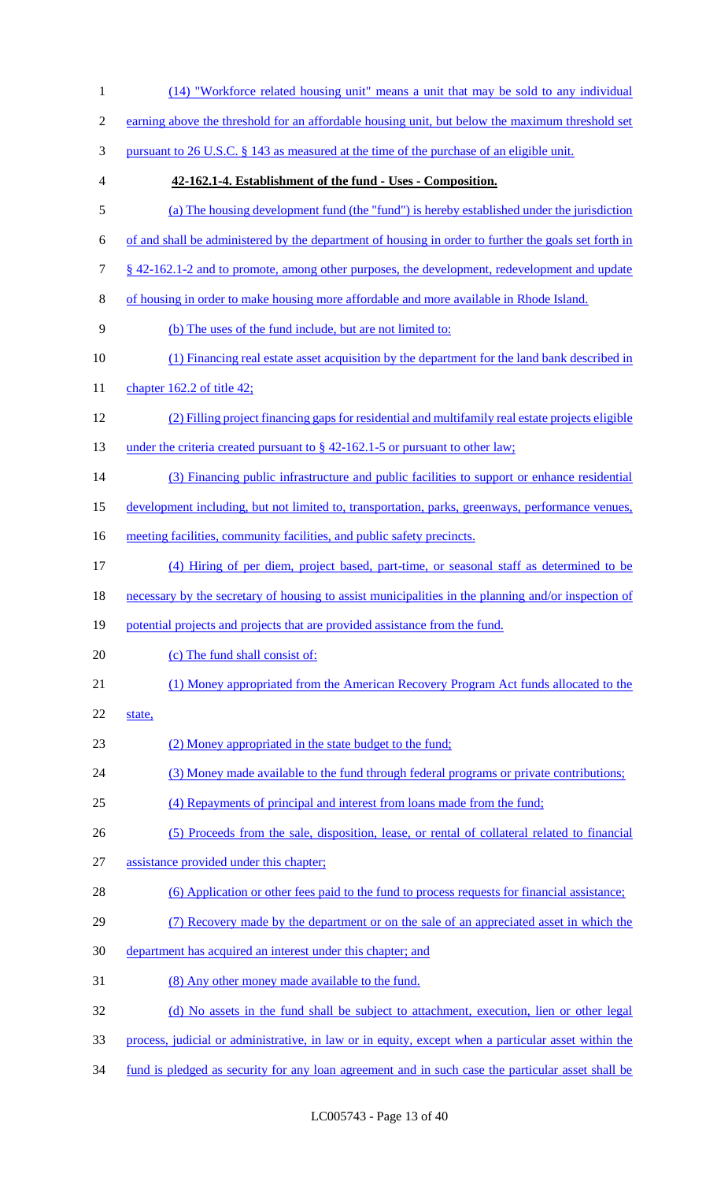(14) "Workforce related housing unit" means a unit that may be sold to any individual 2 earning above the threshold for an affordable housing unit, but below the maximum threshold set pursuant to 26 U.S.C. § 143 as measured at the time of the purchase of an eligible unit. **42-162.1-4. Establishment of the fund - Uses - Composition.** (a) The housing development fund (the "fund") is hereby established under the jurisdiction of and shall be administered by the department of housing in order to further the goals set forth in § 42-162.1-2 and to promote, among other purposes, the development, redevelopment and update of housing in order to make housing more affordable and more available in Rhode Island. (b) The uses of the fund include, but are not limited to: (1) Financing real estate asset acquisition by the department for the land bank described in 11 chapter 162.2 of title 42; (2) Filling project financing gaps for residential and multifamily real estate projects eligible 13 under the criteria created pursuant to § 42-162.1-5 or pursuant to other law; (3) Financing public infrastructure and public facilities to support or enhance residential development including, but not limited to, transportation, parks, greenways, performance venues, 16 meeting facilities, community facilities, and public safety precincts. (4) Hiring of per diem, project based, part-time, or seasonal staff as determined to be necessary by the secretary of housing to assist municipalities in the planning and/or inspection of 19 potential projects and projects that are provided assistance from the fund. 20 (c) The fund shall consist of: (1) Money appropriated from the American Recovery Program Act funds allocated to the state, (2) Money appropriated in the state budget to the fund; (3) Money made available to the fund through federal programs or private contributions; (4) Repayments of principal and interest from loans made from the fund; (5) Proceeds from the sale, disposition, lease, or rental of collateral related to financial assistance provided under this chapter; (6) Application or other fees paid to the fund to process requests for financial assistance; (7) Recovery made by the department or on the sale of an appreciated asset in which the department has acquired an interest under this chapter; and (8) Any other money made available to the fund. (d) No assets in the fund shall be subject to attachment, execution, lien or other legal process, judicial or administrative, in law or in equity, except when a particular asset within the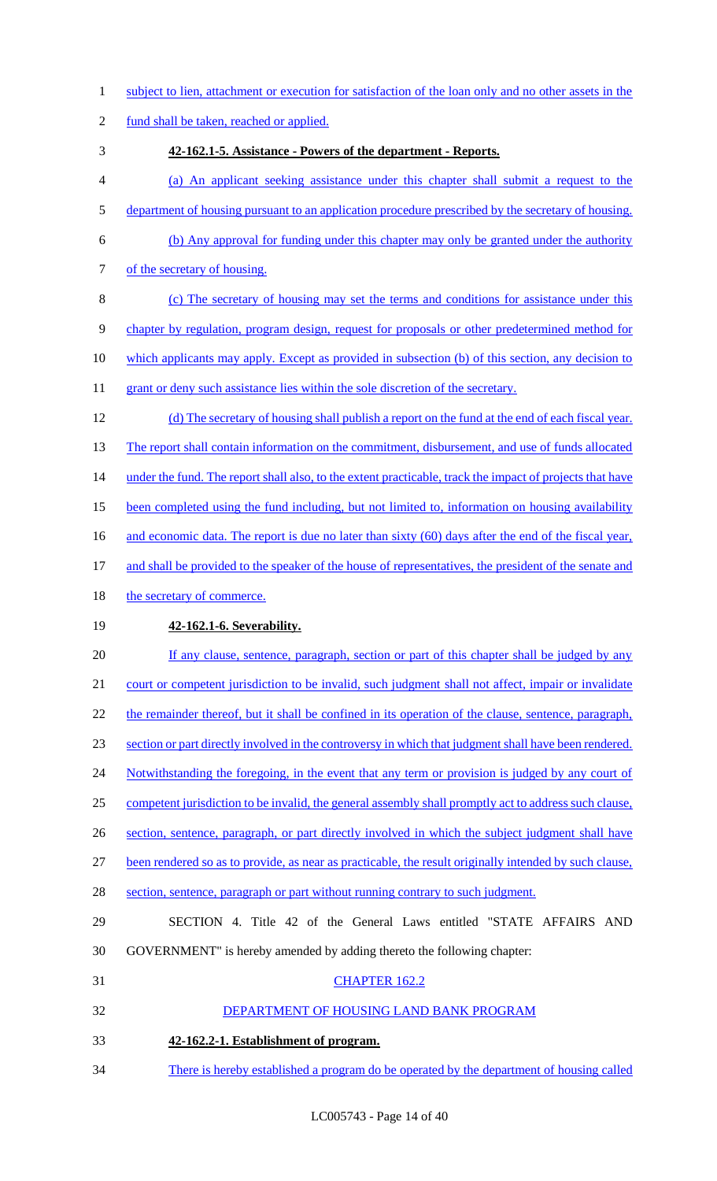- 1 subject to lien, attachment or execution for satisfaction of the loan only and no other assets in the
- 2 fund shall be taken, reached or applied.
- 3 **42-162.1-5. Assistance - Powers of the department - Reports.**
- 4 (a) An applicant seeking assistance under this chapter shall submit a request to the
- 5 department of housing pursuant to an application procedure prescribed by the secretary of housing.
- 6 (b) Any approval for funding under this chapter may only be granted under the authority 7 of the secretary of housing.
- 8 (c) The secretary of housing may set the terms and conditions for assistance under this 9 chapter by regulation, program design, request for proposals or other predetermined method for 10 which applicants may apply. Except as provided in subsection (b) of this section, any decision to 11 grant or deny such assistance lies within the sole discretion of the secretary.
- 12 (d) The secretary of housing shall publish a report on the fund at the end of each fiscal year. 13 The report shall contain information on the commitment, disbursement, and use of funds allocated 14 under the fund. The report shall also, to the extent practicable, track the impact of projects that have 15 been completed using the fund including, but not limited to, information on housing availability 16 and economic data. The report is due no later than sixty (60) days after the end of the fiscal year, 17 and shall be provided to the speaker of the house of representatives, the president of the senate and 18 the secretary of commerce.
- 

# 19 **42-162.1-6. Severability.**

- 20 If any clause, sentence, paragraph, section or part of this chapter shall be judged by any 21 court or competent jurisdiction to be invalid, such judgment shall not affect, impair or invalidate 22 the remainder thereof, but it shall be confined in its operation of the clause, sentence, paragraph, 23 section or part directly involved in the controversy in which that judgment shall have been rendered. 24 Notwithstanding the foregoing, in the event that any term or provision is judged by any court of 25 competent jurisdiction to be invalid, the general assembly shall promptly act to address such clause, 26 section, sentence, paragraph, or part directly involved in which the subject judgment shall have 27 been rendered so as to provide, as near as practicable, the result originally intended by such clause, 28 section, sentence, paragraph or part without running contrary to such judgment. 29 SECTION 4. Title 42 of the General Laws entitled "STATE AFFAIRS AND 30 GOVERNMENT" is hereby amended by adding thereto the following chapter: 31 CHAPTER 162.2 32 DEPARTMENT OF HOUSING LAND BANK PROGRAM 33 **42-162.2-1. Establishment of program.**
- 34 There is hereby established a program do be operated by the department of housing called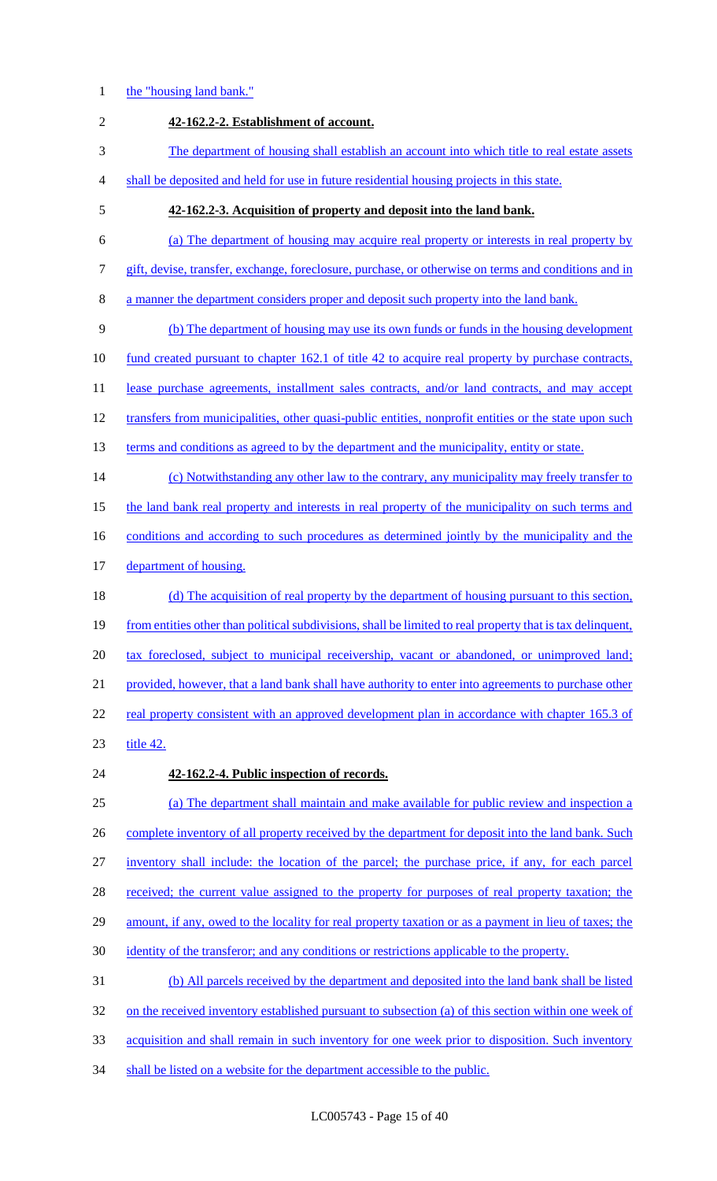#### 1 the "housing land bank."

2 **42-162.2-2. Establishment of account.** 3 The department of housing shall establish an account into which title to real estate assets 4 shall be deposited and held for use in future residential housing projects in this state. 5 **42-162.2-3. Acquisition of property and deposit into the land bank.** 6 (a) The department of housing may acquire real property or interests in real property by 7 gift, devise, transfer, exchange, foreclosure, purchase, or otherwise on terms and conditions and in 8 a manner the department considers proper and deposit such property into the land bank. 9 (b) The department of housing may use its own funds or funds in the housing development 10 fund created pursuant to chapter 162.1 of title 42 to acquire real property by purchase contracts, 11 lease purchase agreements, installment sales contracts, and/or land contracts, and may accept 12 transfers from municipalities, other quasi-public entities, nonprofit entities or the state upon such 13 terms and conditions as agreed to by the department and the municipality, entity or state. 14 (c) Notwithstanding any other law to the contrary, any municipality may freely transfer to 15 the land bank real property and interests in real property of the municipality on such terms and 16 conditions and according to such procedures as determined jointly by the municipality and the 17 department of housing. 18 (d) The acquisition of real property by the department of housing pursuant to this section, 19 from entities other than political subdivisions, shall be limited to real property that is tax delinquent, 20 tax foreclosed, subject to municipal receivership, vacant or abandoned, or unimproved land; 21 provided, however, that a land bank shall have authority to enter into agreements to purchase other 22 real property consistent with an approved development plan in accordance with chapter 165.3 of 23 title 42. 24 **42-162.2-4. Public inspection of records.** 25 (a) The department shall maintain and make available for public review and inspection a 26 complete inventory of all property received by the department for deposit into the land bank. Such 27 inventory shall include: the location of the parcel; the purchase price, if any, for each parcel 28 received; the current value assigned to the property for purposes of real property taxation; the 29 amount, if any, owed to the locality for real property taxation or as a payment in lieu of taxes; the 30 identity of the transferor; and any conditions or restrictions applicable to the property. 31 (b) All parcels received by the department and deposited into the land bank shall be listed 32 on the received inventory established pursuant to subsection (a) of this section within one week of 33 acquisition and shall remain in such inventory for one week prior to disposition. Such inventory 34 shall be listed on a website for the department accessible to the public.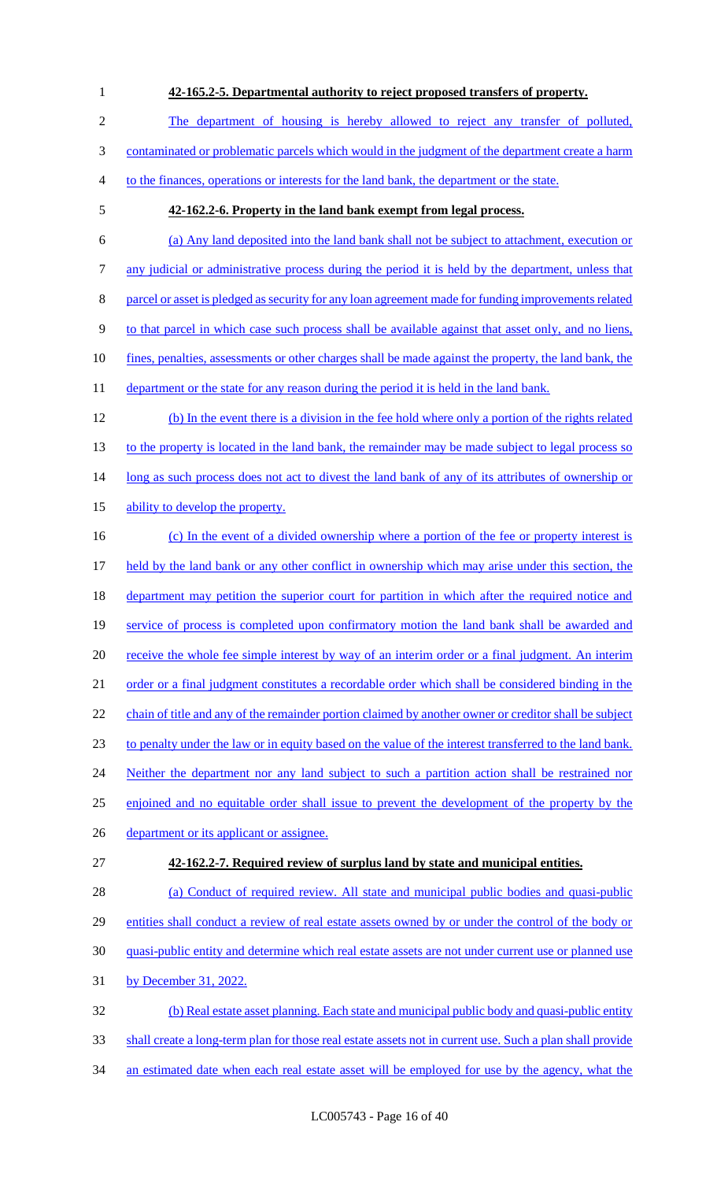# 1 **42-165.2-5. Departmental authority to reject proposed transfers of property.**

2 The department of housing is hereby allowed to reject any transfer of polluted,

3 contaminated or problematic parcels which would in the judgment of the department create a harm

- 4 to the finances, operations or interests for the land bank, the department or the state.
- 

#### 5 **42-162.2-6. Property in the land bank exempt from legal process.**

6 (a) Any land deposited into the land bank shall not be subject to attachment, execution or 7 any judicial or administrative process during the period it is held by the department, unless that 8 parcel or asset is pledged as security for any loan agreement made for funding improvements related 9 to that parcel in which case such process shall be available against that asset only, and no liens, 10 fines, penalties, assessments or other charges shall be made against the property, the land bank, the 11 department or the state for any reason during the period it is held in the land bank. 12 (b) In the event there is a division in the fee hold where only a portion of the rights related 13 to the property is located in the land bank, the remainder may be made subject to legal process so 14 long as such process does not act to divest the land bank of any of its attributes of ownership or 15 ability to develop the property. 16 (c) In the event of a divided ownership where a portion of the fee or property interest is 17 held by the land bank or any other conflict in ownership which may arise under this section, the 18 department may petition the superior court for partition in which after the required notice and 19 service of process is completed upon confirmatory motion the land bank shall be awarded and 20 receive the whole fee simple interest by way of an interim order or a final judgment. An interim 21 order or a final judgment constitutes a recordable order which shall be considered binding in the 22 chain of title and any of the remainder portion claimed by another owner or creditor shall be subject 23 to penalty under the law or in equity based on the value of the interest transferred to the land bank. 24 Neither the department nor any land subject to such a partition action shall be restrained nor 25 enjoined and no equitable order shall issue to prevent the development of the property by the 26 department or its applicant or assignee. 27 **42-162.2-7. Required review of surplus land by state and municipal entities.**

28 (a) Conduct of required review. All state and municipal public bodies and quasi-public 29 entities shall conduct a review of real estate assets owned by or under the control of the body or 30 quasi-public entity and determine which real estate assets are not under current use or planned use 31 by December 31, 2022.

32 (b) Real estate asset planning. Each state and municipal public body and quasi-public entity 33 shall create a long-term plan for those real estate assets not in current use. Such a plan shall provide 34 an estimated date when each real estate asset will be employed for use by the agency, what the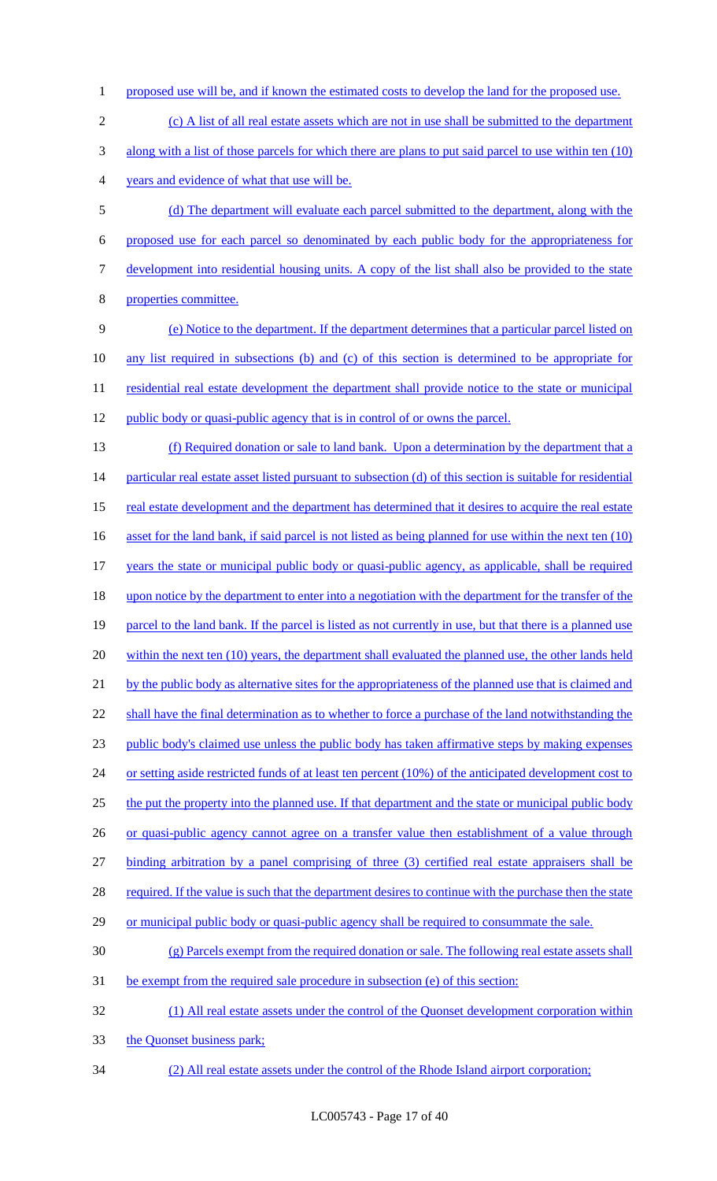- 1 proposed use will be, and if known the estimated costs to develop the land for the proposed use.
- 2 (c) A list of all real estate assets which are not in use shall be submitted to the department 3 along with a list of those parcels for which there are plans to put said parcel to use within ten (10) 4 years and evidence of what that use will be.
- 5 (d) The department will evaluate each parcel submitted to the department, along with the 6 proposed use for each parcel so denominated by each public body for the appropriateness for 7 development into residential housing units. A copy of the list shall also be provided to the state 8 properties committee.
- 9 (e) Notice to the department. If the department determines that a particular parcel listed on 10 any list required in subsections (b) and (c) of this section is determined to be appropriate for 11 residential real estate development the department shall provide notice to the state or municipal 12 public body or quasi-public agency that is in control of or owns the parcel.
- 13 (f) Required donation or sale to land bank. Upon a determination by the department that a 14 particular real estate asset listed pursuant to subsection (d) of this section is suitable for residential 15 real estate development and the department has determined that it desires to acquire the real estate 16 asset for the land bank, if said parcel is not listed as being planned for use within the next ten (10) 17 years the state or municipal public body or quasi-public agency, as applicable, shall be required 18 upon notice by the department to enter into a negotiation with the department for the transfer of the 19 parcel to the land bank. If the parcel is listed as not currently in use, but that there is a planned use 20 within the next ten (10) years, the department shall evaluated the planned use, the other lands held 21 by the public body as alternative sites for the appropriateness of the planned use that is claimed and 22 shall have the final determination as to whether to force a purchase of the land notwithstanding the 23 public body's claimed use unless the public body has taken affirmative steps by making expenses 24 or setting aside restricted funds of at least ten percent (10%) of the anticipated development cost to 25 the put the property into the planned use. If that department and the state or municipal public body 26 or quasi-public agency cannot agree on a transfer value then establishment of a value through 27 binding arbitration by a panel comprising of three (3) certified real estate appraisers shall be 28 required. If the value is such that the department desires to continue with the purchase then the state 29 or municipal public body or quasi-public agency shall be required to consummate the sale. 30 (g) Parcels exempt from the required donation or sale. The following real estate assets shall 31 be exempt from the required sale procedure in subsection (e) of this section: 32 (1) All real estate assets under the control of the Quonset development corporation within
- 33 the Quonset business park;
- 34 (2) All real estate assets under the control of the Rhode Island airport corporation;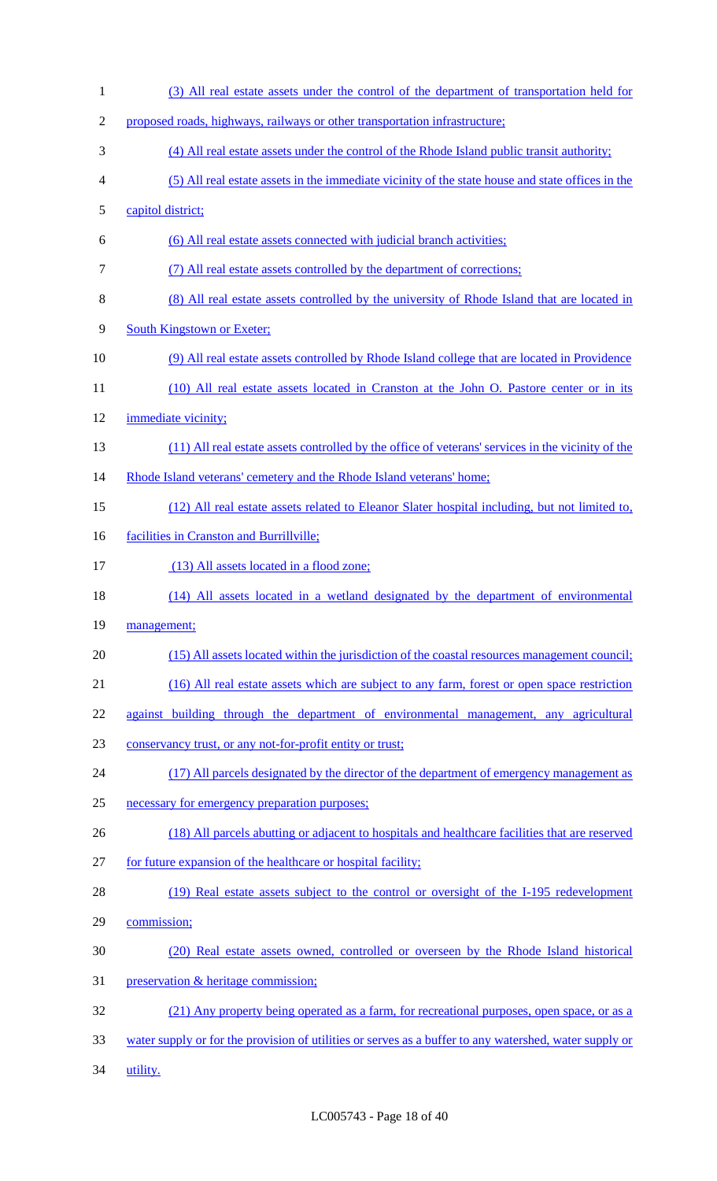| $\mathbf{1}$   | (3) All real estate assets under the control of the department of transportation held for              |
|----------------|--------------------------------------------------------------------------------------------------------|
| $\overline{2}$ | proposed roads, highways, railways or other transportation infrastructure;                             |
| 3              | (4) All real estate assets under the control of the Rhode Island public transit authority;             |
| $\overline{4}$ | (5) All real estate assets in the immediate vicinity of the state house and state offices in the       |
| 5              | capitol district;                                                                                      |
| 6              | (6) All real estate assets connected with judicial branch activities;                                  |
| $\overline{7}$ | (7) All real estate assets controlled by the department of corrections;                                |
| 8              | (8) All real estate assets controlled by the university of Rhode Island that are located in            |
| 9              | <b>South Kingstown or Exeter;</b>                                                                      |
| 10             | (9) All real estate assets controlled by Rhode Island college that are located in Providence           |
| 11             | (10) All real estate assets located in Cranston at the John O. Pastore center or in its                |
| 12             | immediate vicinity;                                                                                    |
| 13             | (11) All real estate assets controlled by the office of veterans' services in the vicinity of the      |
| 14             | Rhode Island veterans' cemetery and the Rhode Island veterans' home;                                   |
| 15             | (12) All real estate assets related to Eleanor Slater hospital including, but not limited to,          |
| 16             | facilities in Cranston and Burrillville;                                                               |
| 17             | (13) All assets located in a flood zone;                                                               |
| 18             | (14) All assets located in a wetland designated by the department of environmental                     |
| 19             | management;                                                                                            |
| 20             | (15) All assets located within the jurisdiction of the coastal resources management council;           |
| 21             | (16) All real estate assets which are subject to any farm, forest or open space restriction            |
| 22             | against building through the department of environmental management, any agricultural                  |
| 23             | conservancy trust, or any not-for-profit entity or trust;                                              |
| 24             | (17) All parcels designated by the director of the department of emergency management as               |
| 25             | necessary for emergency preparation purposes;                                                          |
| 26             | (18) All parcels abutting or adjacent to hospitals and healthcare facilities that are reserved         |
| 27             | for future expansion of the healthcare or hospital facility;                                           |
| 28             | (19) Real estate assets subject to the control or oversight of the I-195 redevelopment                 |
| 29             | commission;                                                                                            |
| 30             | (20) Real estate assets owned, controlled or overseen by the Rhode Island historical                   |
| 31             | preservation & heritage commission;                                                                    |
| 32             | (21) Any property being operated as a farm, for recreational purposes, open space, or as a             |
| 33             | water supply or for the provision of utilities or serves as a buffer to any watershed, water supply or |
| 34             | utility.                                                                                               |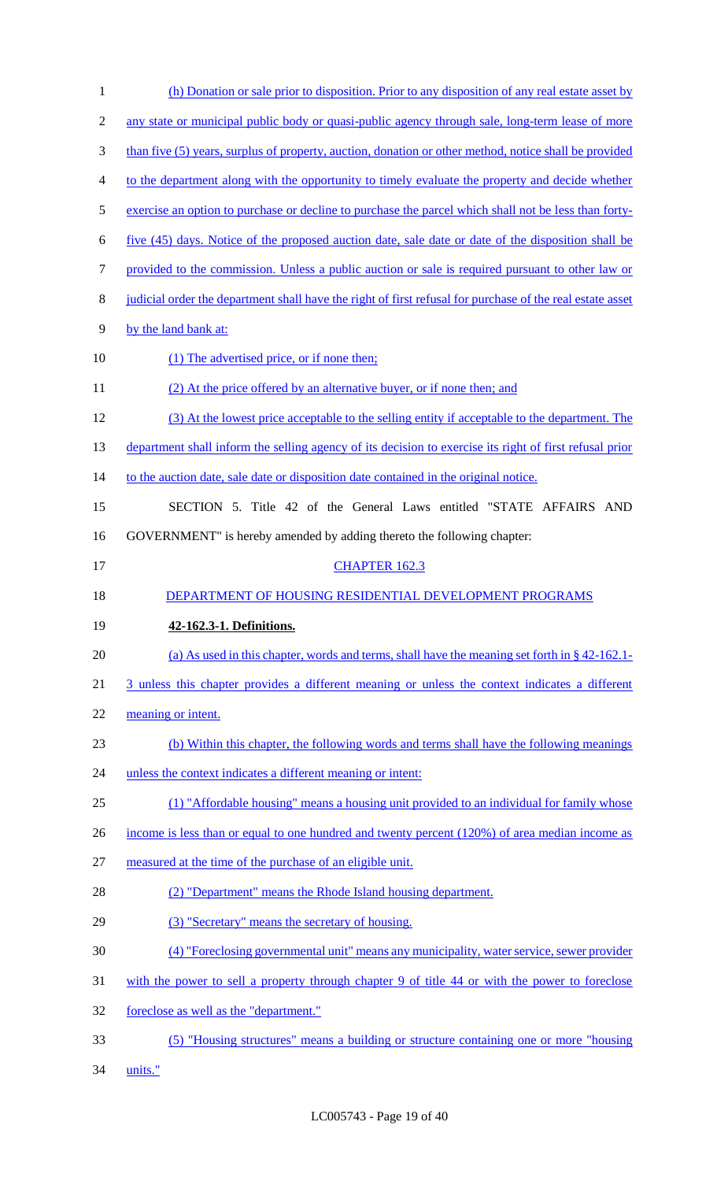| $\mathbf{1}$   | (h) Donation or sale prior to disposition. Prior to any disposition of any real estate asset by           |
|----------------|-----------------------------------------------------------------------------------------------------------|
| $\overline{c}$ | any state or municipal public body or quasi-public agency through sale, long-term lease of more           |
| 3              | than five (5) years, surplus of property, auction, donation or other method, notice shall be provided     |
| $\overline{4}$ | to the department along with the opportunity to timely evaluate the property and decide whether           |
| 5              | exercise an option to purchase or decline to purchase the parcel which shall not be less than forty-      |
| 6              | five (45) days. Notice of the proposed auction date, sale date or date of the disposition shall be        |
| $\tau$         | provided to the commission. Unless a public auction or sale is required pursuant to other law or          |
| 8              | judicial order the department shall have the right of first refusal for purchase of the real estate asset |
| 9              | by the land bank at:                                                                                      |
| 10             | (1) The advertised price, or if none then;                                                                |
| 11             | (2) At the price offered by an alternative buyer, or if none then; and                                    |
| 12             | (3) At the lowest price acceptable to the selling entity if acceptable to the department. The             |
| 13             | department shall inform the selling agency of its decision to exercise its right of first refusal prior   |
| 14             | to the auction date, sale date or disposition date contained in the original notice.                      |
| 15             | SECTION 5. Title 42 of the General Laws entitled "STATE AFFAIRS AND                                       |
| 16             | GOVERNMENT" is hereby amended by adding thereto the following chapter:                                    |
| 17             | <b>CHAPTER 162.3</b>                                                                                      |
|                |                                                                                                           |
| 18             | DEPARTMENT OF HOUSING RESIDENTIAL DEVELOPMENT PROGRAMS                                                    |
| 19             | 42-162.3-1. Definitions.                                                                                  |
| 20             | (a) As used in this chapter, words and terms, shall have the meaning set forth in $\S$ 42-162.1-          |
| 21             | 3 unless this chapter provides a different meaning or unless the context indicates a different            |
| 22             | meaning or intent.                                                                                        |
| 23             | (b) Within this chapter, the following words and terms shall have the following meanings                  |
| 24             | unless the context indicates a different meaning or intent:                                               |
| 25             | (1) "Affordable housing" means a housing unit provided to an individual for family whose                  |
| 26             | income is less than or equal to one hundred and twenty percent (120%) of area median income as            |
| 27             | measured at the time of the purchase of an eligible unit.                                                 |
| 28             | (2) "Department" means the Rhode Island housing department.                                               |
| 29             | (3) "Secretary" means the secretary of housing.                                                           |
| 30             | (4) "Foreclosing governmental unit" means any municipality, water service, sewer provider                 |
| 31             | with the power to sell a property through chapter 9 of title 44 or with the power to foreclose            |
| 32             | foreclose as well as the "department."                                                                    |
| 33             | (5) "Housing structures" means a building or structure containing one or more "housing                    |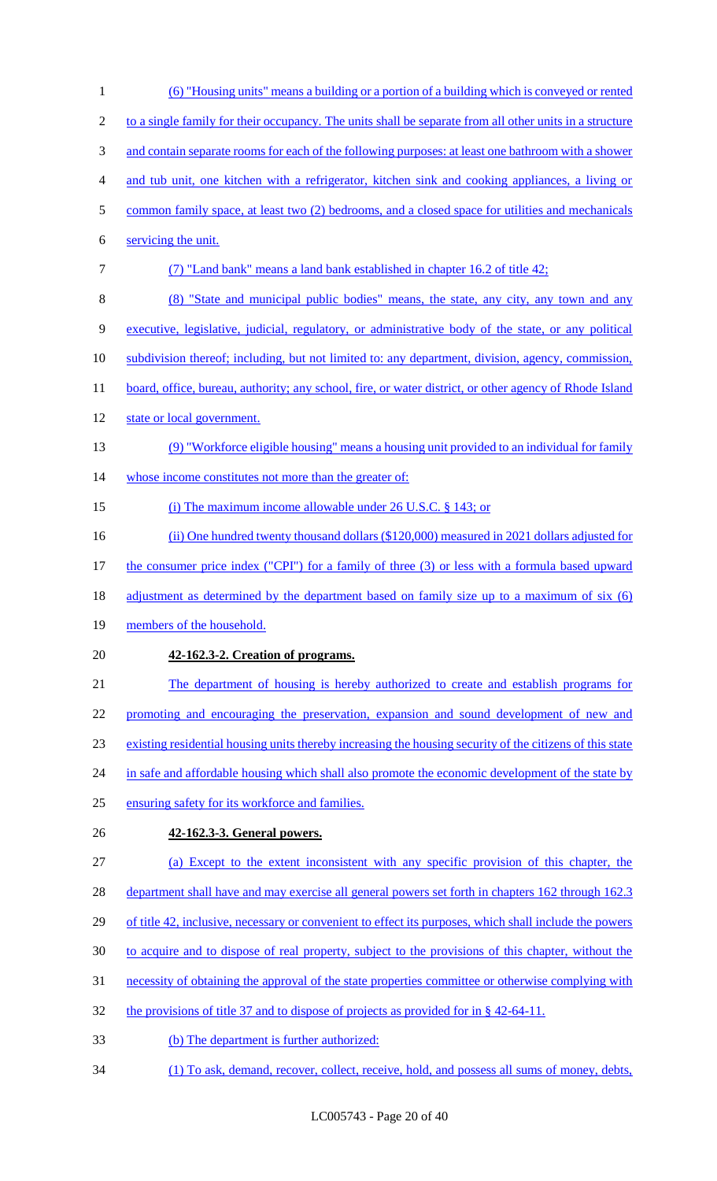| $\mathbf{1}$   | <u>(6) "Housing units" means a building or a portion of a building which is conveyed or rented</u>       |
|----------------|----------------------------------------------------------------------------------------------------------|
| $\overline{2}$ | to a single family for their occupancy. The units shall be separate from all other units in a structure  |
| 3              | and contain separate rooms for each of the following purposes: at least one bathroom with a shower       |
| 4              | and tub unit, one kitchen with a refrigerator, kitchen sink and cooking appliances, a living or          |
| 5              | common family space, at least two (2) bedrooms, and a closed space for utilities and mechanicals         |
| 6              | servicing the unit.                                                                                      |
| $\tau$         | (7) "Land bank" means a land bank established in chapter 16.2 of title 42;                               |
| 8              | (8) "State and municipal public bodies" means, the state, any city, any town and any                     |
| 9              | executive, legislative, judicial, regulatory, or administrative body of the state, or any political      |
| 10             | subdivision thereof; including, but not limited to: any department, division, agency, commission,        |
| 11             | board, office, bureau, authority; any school, fire, or water district, or other agency of Rhode Island   |
| 12             | state or local government.                                                                               |
| 13             | (9) "Workforce eligible housing" means a housing unit provided to an individual for family               |
| 14             | whose income constitutes not more than the greater of:                                                   |
| 15             | (i) The maximum income allowable under $26$ U.S.C. $\S$ 143; or                                          |
| 16             | (ii) One hundred twenty thousand dollars (\$120,000) measured in 2021 dollars adjusted for               |
| 17             | the consumer price index ("CPI") for a family of three (3) or less with a formula based upward           |
| 18             | <u>adjustment as determined by the department based on family size up to a maximum of six (6)</u>        |
| 19             | members of the household.                                                                                |
| 20             | 42-162.3-2. Creation of programs.                                                                        |
| 21             | The department of housing is hereby authorized to create and establish programs for                      |
| 22             | promoting and encouraging the preservation, expansion and sound development of new and                   |
| 23             | existing residential housing units thereby increasing the housing security of the citizens of this state |
| 24             | in safe and affordable housing which shall also promote the economic development of the state by         |
| 25             | ensuring safety for its workforce and families.                                                          |
| 26             | 42-162.3-3. General powers.                                                                              |
| 27             | (a) Except to the extent inconsistent with any specific provision of this chapter, the                   |
| 28             | department shall have and may exercise all general powers set forth in chapters 162 through 162.3        |
| 29             | of title 42, inclusive, necessary or convenient to effect its purposes, which shall include the powers   |
| 30             | to acquire and to dispose of real property, subject to the provisions of this chapter, without the       |
| 31             | necessity of obtaining the approval of the state properties committee or otherwise complying with        |
| 32             | the provisions of title 37 and to dispose of projects as provided for in $\S$ 42-64-11.                  |
| 33             | (b) The department is further authorized:                                                                |
| 34             | (1) To ask, demand, recover, collect, receive, hold, and possess all sums of money, debts,               |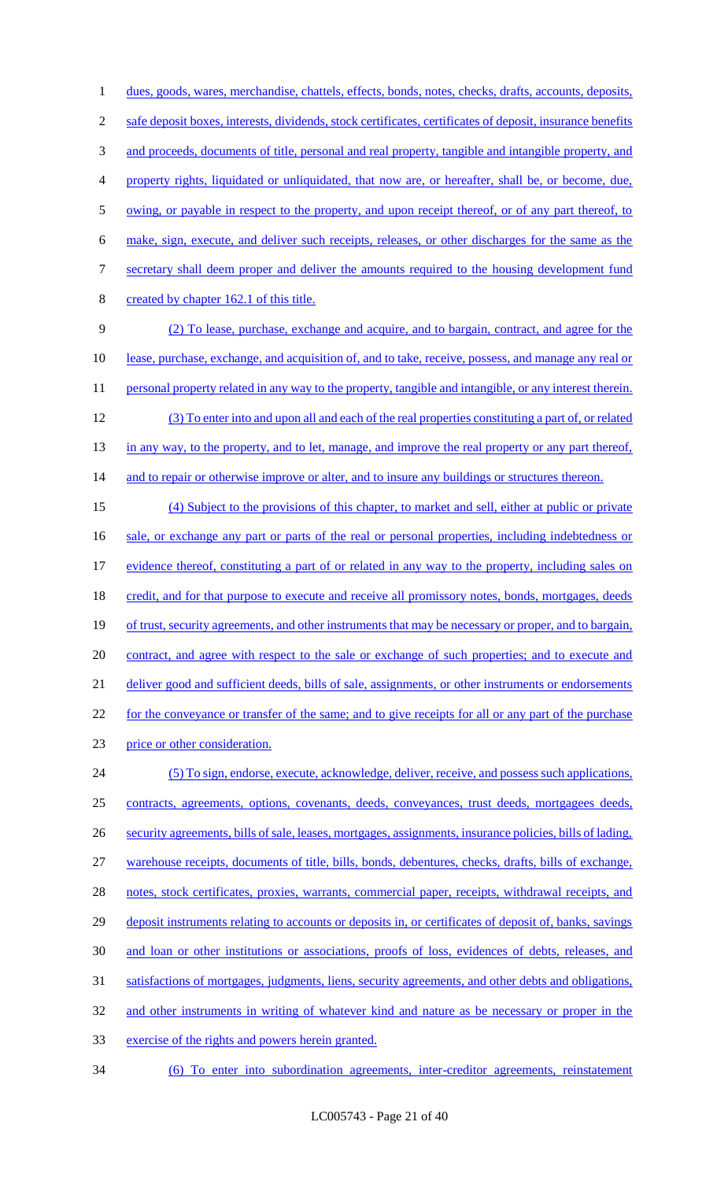dues, goods, wares, merchandise, chattels, effects, bonds, notes, checks, drafts, accounts, deposits, 2 safe deposit boxes, interests, dividends, stock certificates, certificates of deposit, insurance benefits 3 and proceeds, documents of title, personal and real property, tangible and intangible property, and property rights, liquidated or unliquidated, that now are, or hereafter, shall be, or become, due, 5 owing, or payable in respect to the property, and upon receipt thereof, or of any part thereof, to make, sign, execute, and deliver such receipts, releases, or other discharges for the same as the secretary shall deem proper and deliver the amounts required to the housing development fund created by chapter 162.1 of this title. (2) To lease, purchase, exchange and acquire, and to bargain, contract, and agree for the lease, purchase, exchange, and acquisition of, and to take, receive, possess, and manage any real or 11 personal property related in any way to the property, tangible and intangible, or any interest therein. (3) To enter into and upon all and each of the real properties constituting a part of, or related 13 in any way, to the property, and to let, manage, and improve the real property or any part thereof, 14 and to repair or otherwise improve or alter, and to insure any buildings or structures thereon. (4) Subject to the provisions of this chapter, to market and sell, either at public or private 16 sale, or exchange any part or parts of the real or personal properties, including indebtedness or evidence thereof, constituting a part of or related in any way to the property, including sales on 18 credit, and for that purpose to execute and receive all promissory notes, bonds, mortgages, deeds 19 of trust, security agreements, and other instruments that may be necessary or proper, and to bargain, 20 contract, and agree with respect to the sale or exchange of such properties; and to execute and deliver good and sufficient deeds, bills of sale, assignments, or other instruments or endorsements 22 for the conveyance or transfer of the same; and to give receipts for all or any part of the purchase price or other consideration. (5) To sign, endorse, execute, acknowledge, deliver, receive, and possess such applications, contracts, agreements, options, covenants, deeds, conveyances, trust deeds, mortgagees deeds, security agreements, bills of sale, leases, mortgages, assignments, insurance policies, bills of lading, warehouse receipts, documents of title, bills, bonds, debentures, checks, drafts, bills of exchange, 28 notes, stock certificates, proxies, warrants, commercial paper, receipts, withdrawal receipts, and 29 deposit instruments relating to accounts or deposits in, or certificates of deposit of, banks, savings and loan or other institutions or associations, proofs of loss, evidences of debts, releases, and satisfactions of mortgages, judgments, liens, security agreements, and other debts and obligations, and other instruments in writing of whatever kind and nature as be necessary or proper in the exercise of the rights and powers herein granted.

34 (6) To enter into subordination agreements, inter-creditor agreements, reinstatement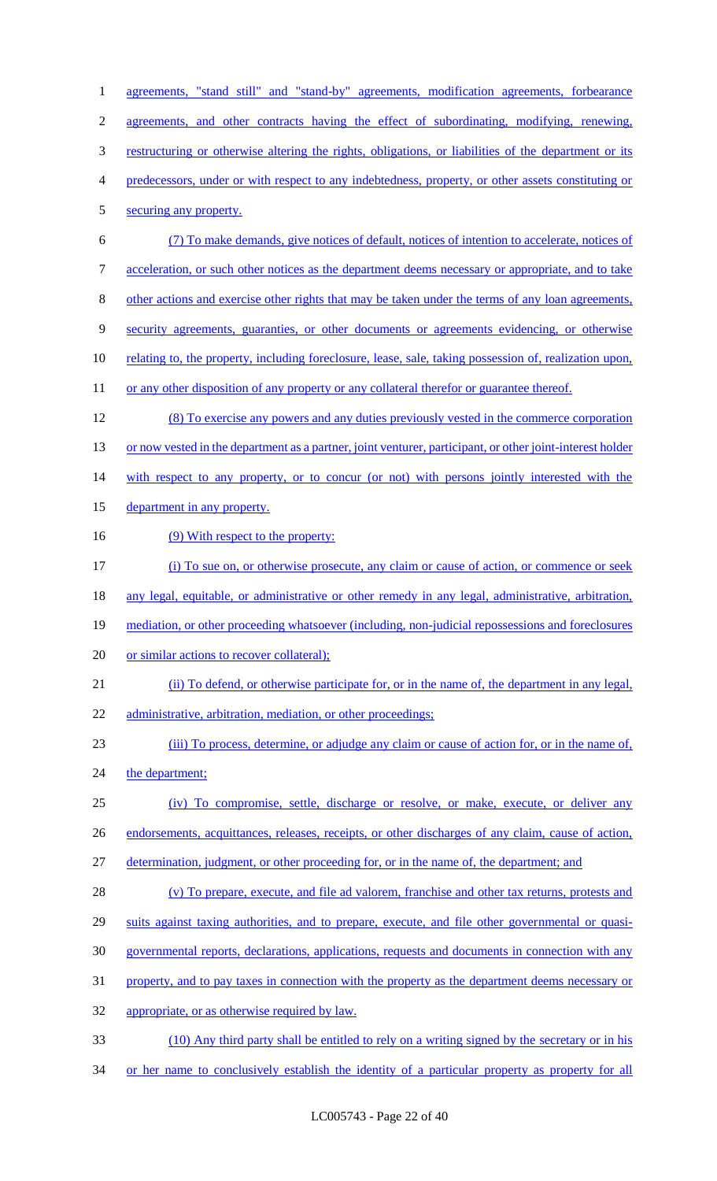1 agreements, "stand still" and "stand-by" agreements, modification agreements, forbearance agreements, and other contracts having the effect of subordinating, modifying, renewing, restructuring or otherwise altering the rights, obligations, or liabilities of the department or its predecessors, under or with respect to any indebtedness, property, or other assets constituting or securing any property. (7) To make demands, give notices of default, notices of intention to accelerate, notices of acceleration, or such other notices as the department deems necessary or appropriate, and to take other actions and exercise other rights that may be taken under the terms of any loan agreements, security agreements, guaranties, or other documents or agreements evidencing, or otherwise 10 relating to, the property, including foreclosure, lease, sale, taking possession of, realization upon, 11 or any other disposition of any property or any collateral therefor or guarantee thereof. (8) To exercise any powers and any duties previously vested in the commerce corporation 13 or now vested in the department as a partner, joint venturer, participant, or other joint-interest holder 14 with respect to any property, or to concur (or not) with persons jointly interested with the 15 department in any property. 16 (9) With respect to the property: (i) To sue on, or otherwise prosecute, any claim or cause of action, or commence or seek 18 any legal, equitable, or administrative or other remedy in any legal, administrative, arbitration, mediation, or other proceeding whatsoever (including, non-judicial repossessions and foreclosures 20 or similar actions to recover collateral); (ii) To defend, or otherwise participate for, or in the name of, the department in any legal, administrative, arbitration, mediation, or other proceedings; (iii) To process, determine, or adjudge any claim or cause of action for, or in the name of, 24 the department; (iv) To compromise, settle, discharge or resolve, or make, execute, or deliver any endorsements, acquittances, releases, receipts, or other discharges of any claim, cause of action, determination, judgment, or other proceeding for, or in the name of, the department; and (v) To prepare, execute, and file ad valorem, franchise and other tax returns, protests and 29 suits against taxing authorities, and to prepare, execute, and file other governmental or quasi- governmental reports, declarations, applications, requests and documents in connection with any 31 property, and to pay taxes in connection with the property as the department deems necessary or appropriate, or as otherwise required by law. (10) Any third party shall be entitled to rely on a writing signed by the secretary or in his 34 or her name to conclusively establish the identity of a particular property as property for all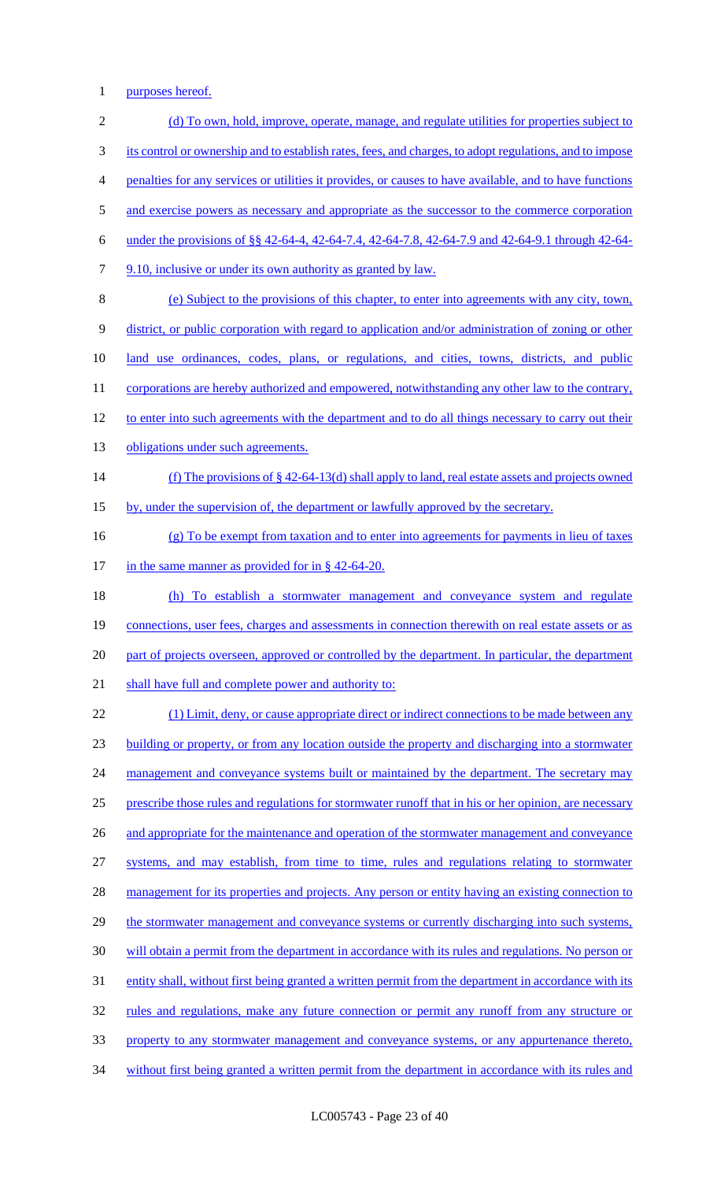1 purposes hereof.

2 (d) To own, hold, improve, operate, manage, and regulate utilities for properties subject to 3 its control or ownership and to establish rates, fees, and charges, to adopt regulations, and to impose 4 penalties for any services or utilities it provides, or causes to have available, and to have functions 5 and exercise powers as necessary and appropriate as the successor to the commerce corporation 6 under the provisions of §§ 42-64-4, 42-64-7.4, 42-64-7.8, 42-64-7.9 and 42-64-9.1 through 42-64- 7 9.10, inclusive or under its own authority as granted by law. 8 (e) Subject to the provisions of this chapter, to enter into agreements with any city, town, 9 district, or public corporation with regard to application and/or administration of zoning or other 10 land use ordinances, codes, plans, or regulations, and cities, towns, districts, and public 11 corporations are hereby authorized and empowered, notwithstanding any other law to the contrary, 12 to enter into such agreements with the department and to do all things necessary to carry out their 13 obligations under such agreements. 14 (f) The provisions of § 42-64-13(d) shall apply to land, real estate assets and projects owned 15 by, under the supervision of, the department or lawfully approved by the secretary. 16 (g) To be exempt from taxation and to enter into agreements for payments in lieu of taxes 17 in the same manner as provided for in § 42-64-20. 18 (h) To establish a stormwater management and conveyance system and regulate 19 connections, user fees, charges and assessments in connection therewith on real estate assets or as 20 part of projects overseen, approved or controlled by the department. In particular, the department 21 shall have full and complete power and authority to: 22 (1) Limit, deny, or cause appropriate direct or indirect connections to be made between any 23 building or property, or from any location outside the property and discharging into a stormwater 24 management and conveyance systems built or maintained by the department. The secretary may 25 prescribe those rules and regulations for stormwater runoff that in his or her opinion, are necessary 26 and appropriate for the maintenance and operation of the stormwater management and conveyance 27 systems, and may establish, from time to time, rules and regulations relating to stormwater 28 management for its properties and projects. Any person or entity having an existing connection to 29 the stormwater management and conveyance systems or currently discharging into such systems, 30 will obtain a permit from the department in accordance with its rules and regulations. No person or 31 entity shall, without first being granted a written permit from the department in accordance with its 32 rules and regulations, make any future connection or permit any runoff from any structure or 33 property to any stormwater management and conveyance systems, or any appurtenance thereto, 34 without first being granted a written permit from the department in accordance with its rules and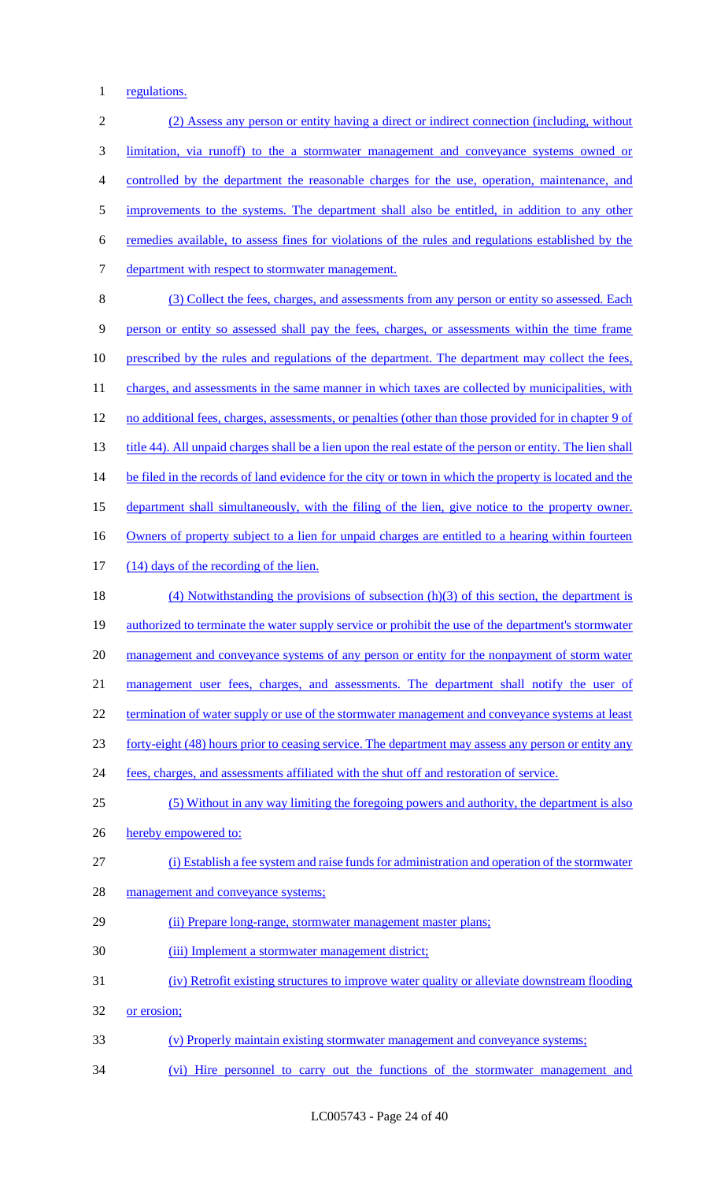1 regulations.

| $\sqrt{2}$     | (2) Assess any person or entity having a direct or indirect connection (including, without                 |
|----------------|------------------------------------------------------------------------------------------------------------|
| 3              | limitation, via runoff) to the a stormwater management and conveyance systems owned or                     |
| $\overline{4}$ | controlled by the department the reasonable charges for the use, operation, maintenance, and               |
| 5              | improvements to the systems. The department shall also be entitled, in addition to any other               |
| 6              | remedies available, to assess fines for violations of the rules and regulations established by the         |
| $\tau$         | department with respect to stormwater management.                                                          |
| $8\,$          | (3) Collect the fees, charges, and assessments from any person or entity so assessed. Each                 |
| 9              | person or entity so assessed shall pay the fees, charges, or assessments within the time frame             |
| 10             | prescribed by the rules and regulations of the department. The department may collect the fees,            |
| 11             | charges, and assessments in the same manner in which taxes are collected by municipalities, with           |
| 12             | no additional fees, charges, assessments, or penalties (other than those provided for in chapter 9 of      |
| 13             | title 44). All unpaid charges shall be a lien upon the real estate of the person or entity. The lien shall |
| 14             | be filed in the records of land evidence for the city or town in which the property is located and the     |
| 15             | department shall simultaneously, with the filing of the lien, give notice to the property owner.           |
| 16             | Owners of property subject to a lien for unpaid charges are entitled to a hearing within fourteen          |
| 17             | (14) days of the recording of the lien.                                                                    |
| 18             | $(4)$ Notwithstanding the provisions of subsection $(h)(3)$ of this section, the department is             |
| 19             | authorized to terminate the water supply service or prohibit the use of the department's stormwater        |
| 20             | management and conveyance systems of any person or entity for the nonpayment of storm water                |
| 21             | management user fees, charges, and assessments. The department shall notify the user of                    |
| 22             | termination of water supply or use of the stormwater management and conveyance systems at least            |
| 23             | forty-eight (48) hours prior to ceasing service. The department may assess any person or entity any        |
| 24             | fees, charges, and assessments affiliated with the shut off and restoration of service.                    |
| 25             | (5) Without in any way limiting the foregoing powers and authority, the department is also                 |
| 26             | hereby empowered to:                                                                                       |
| 27             | (i) Establish a fee system and raise funds for administration and operation of the stormwater              |
| 28             | management and conveyance systems;                                                                         |
| 29             | (ii) Prepare long-range, stormwater management master plans;                                               |
| 30             | (iii) Implement a stormwater management district;                                                          |
| 31             | (iv) Retrofit existing structures to improve water quality or alleviate downstream flooding                |
| 32             | or erosion;                                                                                                |
| 33             | (v) Properly maintain existing stormwater management and conveyance systems;                               |
| 34             | (vi) Hire personnel to carry out the functions of the stormwater management and                            |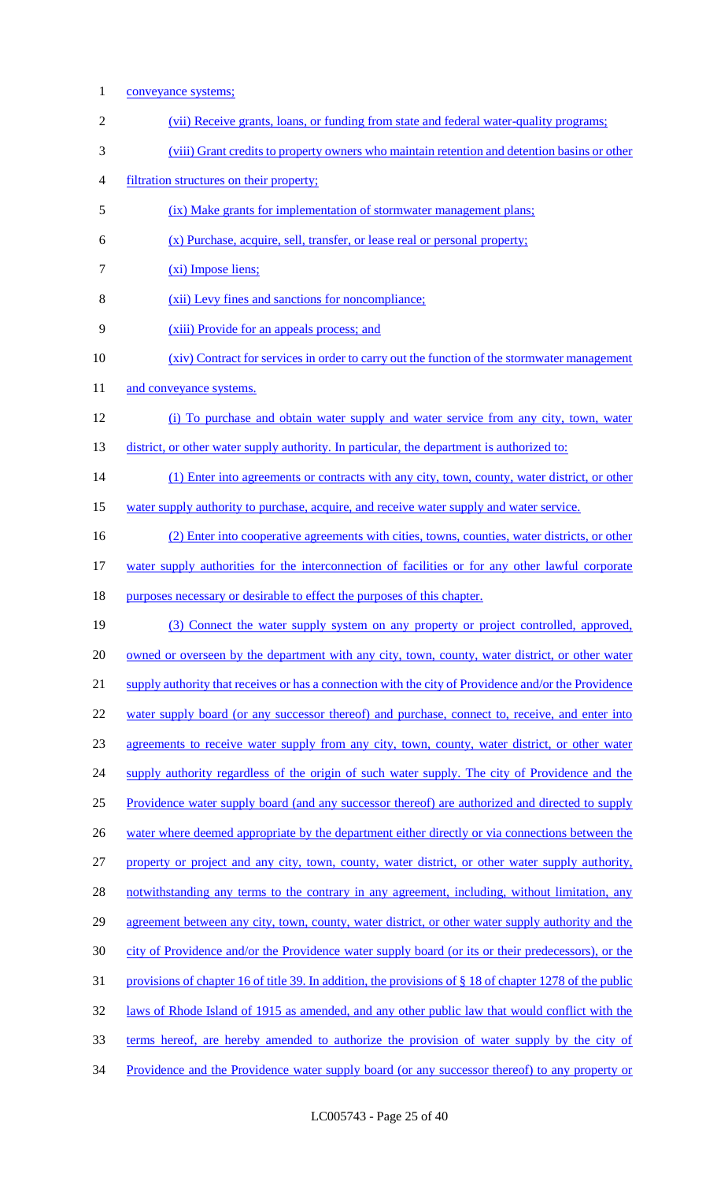1 conveyance systems; 2 (vii) Receive grants, loans, or funding from state and federal water-quality programs; 3 (viii) Grant credits to property owners who maintain retention and detention basins or other 4 filtration structures on their property; 5 (ix) Make grants for implementation of stormwater management plans; 6 (x) Purchase, acquire, sell, transfer, or lease real or personal property; 7 (xi) Impose liens; 8 (xii) Levy fines and sanctions for noncompliance; 9 (xiii) Provide for an appeals process; and 10 (xiv) Contract for services in order to carry out the function of the stormwater management 11 and conveyance systems. 12 (i) To purchase and obtain water supply and water service from any city, town, water 13 district, or other water supply authority. In particular, the department is authorized to: 14 (1) Enter into agreements or contracts with any city, town, county, water district, or other 15 water supply authority to purchase, acquire, and receive water supply and water service. 16 (2) Enter into cooperative agreements with cities, towns, counties, water districts, or other 17 water supply authorities for the interconnection of facilities or for any other lawful corporate 18 purposes necessary or desirable to effect the purposes of this chapter. 19 (3) Connect the water supply system on any property or project controlled, approved, 20 owned or overseen by the department with any city, town, county, water district, or other water 21 supply authority that receives or has a connection with the city of Providence and/or the Providence 22 water supply board (or any successor thereof) and purchase, connect to, receive, and enter into 23 agreements to receive water supply from any city, town, county, water district, or other water 24 supply authority regardless of the origin of such water supply. The city of Providence and the 25 Providence water supply board (and any successor thereof) are authorized and directed to supply 26 water where deemed appropriate by the department either directly or via connections between the 27 property or project and any city, town, county, water district, or other water supply authority, 28 notwithstanding any terms to the contrary in any agreement, including, without limitation, any 29 agreement between any city, town, county, water district, or other water supply authority and the 30 city of Providence and/or the Providence water supply board (or its or their predecessors), or the 31 provisions of chapter 16 of title 39. In addition, the provisions of § 18 of chapter 1278 of the public 32 laws of Rhode Island of 1915 as amended, and any other public law that would conflict with the 33 terms hereof, are hereby amended to authorize the provision of water supply by the city of 34 Providence and the Providence water supply board (or any successor thereof) to any property or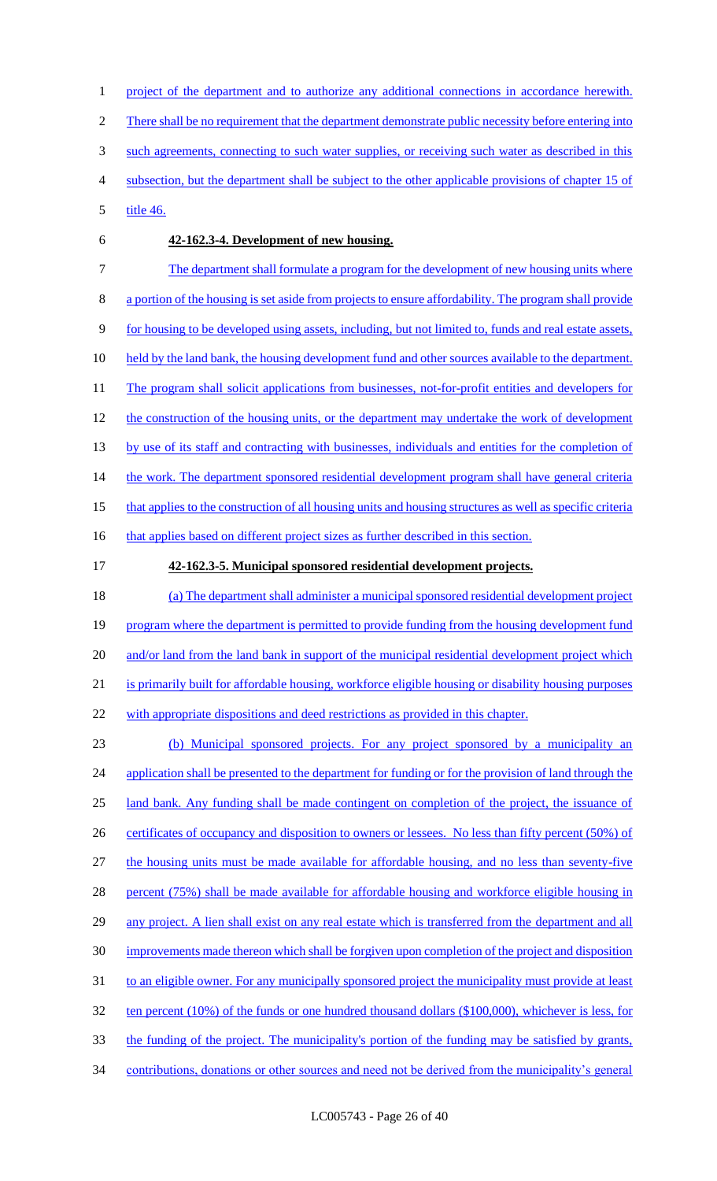1 project of the department and to authorize any additional connections in accordance herewith. 2 There shall be no requirement that the department demonstrate public necessity before entering into 3 such agreements, connecting to such water supplies, or receiving such water as described in this 4 subsection, but the department shall be subject to the other applicable provisions of chapter 15 of 5 title 46.

#### 6 **42-162.3-4. Development of new housing.**

7 The department shall formulate a program for the development of new housing units where 8 a portion of the housing is set aside from projects to ensure affordability. The program shall provide 9 for housing to be developed using assets, including, but not limited to, funds and real estate assets, 10 held by the land bank, the housing development fund and other sources available to the department. 11 The program shall solicit applications from businesses, not-for-profit entities and developers for 12 the construction of the housing units, or the department may undertake the work of development 13 by use of its staff and contracting with businesses, individuals and entities for the completion of 14 the work. The department sponsored residential development program shall have general criteria 15 that applies to the construction of all housing units and housing structures as well as specific criteria 16 that applies based on different project sizes as further described in this section.

#### 17 **42-162.3-5. Municipal sponsored residential development projects.**

18 (a) The department shall administer a municipal sponsored residential development project 19 program where the department is permitted to provide funding from the housing development fund 20 and/or land from the land bank in support of the municipal residential development project which 21 is primarily built for affordable housing, workforce eligible housing or disability housing purposes 22 with appropriate dispositions and deed restrictions as provided in this chapter.

23 (b) Municipal sponsored projects. For any project sponsored by a municipality an 24 application shall be presented to the department for funding or for the provision of land through the 25 land bank. Any funding shall be made contingent on completion of the project, the issuance of 26 certificates of occupancy and disposition to owners or lessees. No less than fifty percent (50%) of 27 the housing units must be made available for affordable housing, and no less than seventy-five 28 percent (75%) shall be made available for affordable housing and workforce eligible housing in 29 any project. A lien shall exist on any real estate which is transferred from the department and all 30 improvements made thereon which shall be forgiven upon completion of the project and disposition 31 to an eligible owner. For any municipally sponsored project the municipality must provide at least 32 ten percent (10%) of the funds or one hundred thousand dollars (\$100,000), whichever is less, for 33 the funding of the project. The municipality's portion of the funding may be satisfied by grants, 34 contributions, donations or other sources and need not be derived from the municipality's general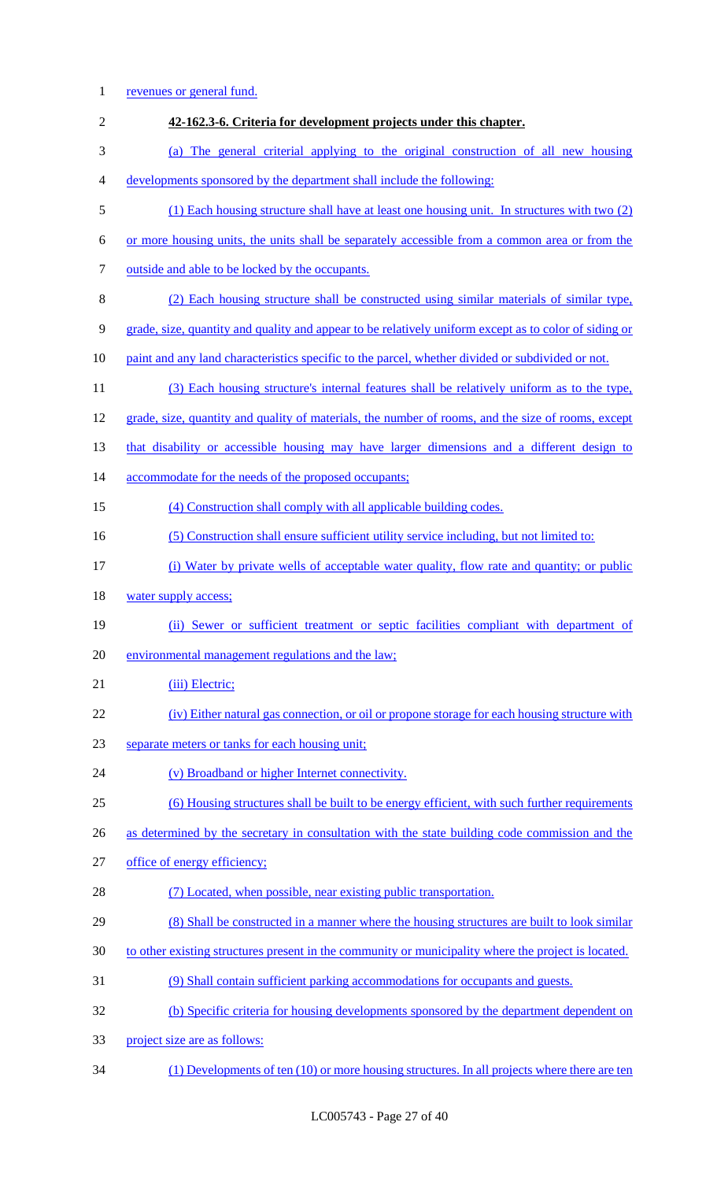| $\mathbf{1}$     | revenues or general fund.                                                                             |
|------------------|-------------------------------------------------------------------------------------------------------|
| $\mathbf{2}$     | 42-162.3-6. Criteria for development projects under this chapter.                                     |
| 3                | (a) The general criterial applying to the original construction of all new housing                    |
| $\overline{4}$   | developments sponsored by the department shall include the following:                                 |
| 5                | (1) Each housing structure shall have at least one housing unit. In structures with two (2)           |
| 6                | or more housing units, the units shall be separately accessible from a common area or from the        |
| $\boldsymbol{7}$ | outside and able to be locked by the occupants.                                                       |
| $8\,$            | (2) Each housing structure shall be constructed using similar materials of similar type,              |
| 9                | grade, size, quantity and quality and appear to be relatively uniform except as to color of siding or |
| 10               | paint and any land characteristics specific to the parcel, whether divided or subdivided or not.      |
| 11               | (3) Each housing structure's internal features shall be relatively uniform as to the type,            |
| 12               | grade, size, quantity and quality of materials, the number of rooms, and the size of rooms, except    |
| 13               | that disability or accessible housing may have larger dimensions and a different design to            |
| 14               | accommodate for the needs of the proposed occupants;                                                  |
| 15               | (4) Construction shall comply with all applicable building codes.                                     |
| 16               | (5) Construction shall ensure sufficient utility service including, but not limited to:               |
| 17               | (i) Water by private wells of acceptable water quality, flow rate and quantity; or public             |
| 18               | water supply access;                                                                                  |
| 19               | (ii) Sewer or sufficient treatment or septic facilities compliant with department of                  |
| 20               | environmental management regulations and the law;                                                     |
| 21               | (iii) Electric;                                                                                       |
| 22               | (iv) Either natural gas connection, or oil or propone storage for each housing structure with         |
| 23               | separate meters or tanks for each housing unit;                                                       |
| 24               | (v) Broadband or higher Internet connectivity.                                                        |
| 25               | (6) Housing structures shall be built to be energy efficient, with such further requirements          |
| 26               | as determined by the secretary in consultation with the state building code commission and the        |
| 27               | office of energy efficiency;                                                                          |
| 28               | (7) Located, when possible, near existing public transportation.                                      |
| 29               | (8) Shall be constructed in a manner where the housing structures are built to look similar           |
| 30               | to other existing structures present in the community or municipality where the project is located.   |
| 31               | (9) Shall contain sufficient parking accommodations for occupants and guests.                         |
| 32               | (b) Specific criteria for housing developments sponsored by the department dependent on               |
| 33               | project size are as follows:                                                                          |
| 34               | $(1)$ Developments of ten $(10)$ or more housing structures. In all projects where there are ten      |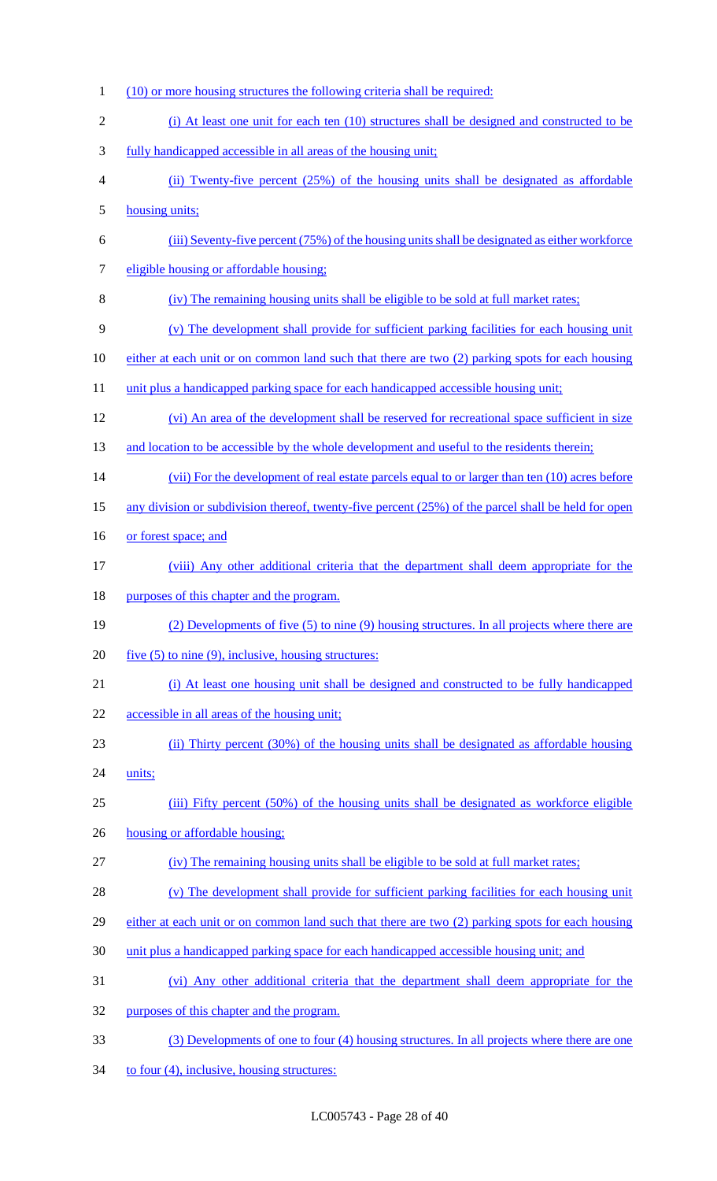- (10) or more housing structures the following criteria shall be required: (i) At least one unit for each ten (10) structures shall be designed and constructed to be fully handicapped accessible in all areas of the housing unit; (ii) Twenty-five percent (25%) of the housing units shall be designated as affordable housing units; (iii) Seventy-five percent (75%) of the housing units shall be designated as either workforce 7 eligible housing or affordable housing; (iv) The remaining housing units shall be eligible to be sold at full market rates; (v) The development shall provide for sufficient parking facilities for each housing unit either at each unit or on common land such that there are two (2) parking spots for each housing 11 unit plus a handicapped parking space for each handicapped accessible housing unit; (vi) An area of the development shall be reserved for recreational space sufficient in size 13 and location to be accessible by the whole development and useful to the residents therein; 14 (vii) For the development of real estate parcels equal to or larger than ten (10) acres before 15 any division or subdivision thereof, twenty-five percent (25%) of the parcel shall be held for open 16 or forest space; and (viii) Any other additional criteria that the department shall deem appropriate for the 18 purposes of this chapter and the program. (2) Developments of five (5) to nine (9) housing structures. In all projects where there are 20  $five (5) to nine (9)$ , inclusive, housing structures: (i) At least one housing unit shall be designed and constructed to be fully handicapped accessible in all areas of the housing unit; (ii) Thirty percent (30%) of the housing units shall be designated as affordable housing 24 units; (iii) Fifty percent (50%) of the housing units shall be designated as workforce eligible housing or affordable housing; (iv) The remaining housing units shall be eligible to be sold at full market rates; 28 (v) The development shall provide for sufficient parking facilities for each housing unit either at each unit or on common land such that there are two (2) parking spots for each housing unit plus a handicapped parking space for each handicapped accessible housing unit; and (vi) Any other additional criteria that the department shall deem appropriate for the purposes of this chapter and the program. (3) Developments of one to four (4) housing structures. In all projects where there are one
- 34 to four (4), inclusive, housing structures: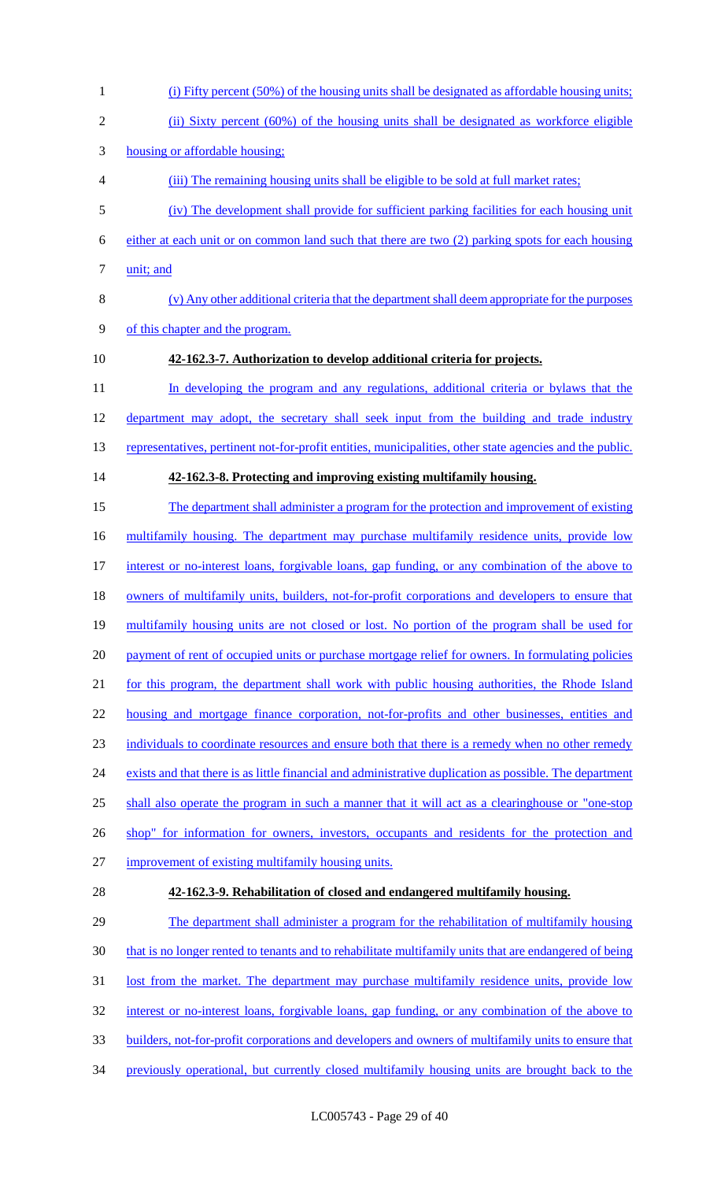(i) Fifty percent (50%) of the housing units shall be designated as affordable housing units; 2 (ii) Sixty percent (60%) of the housing units shall be designated as workforce eligible housing or affordable housing; (iii) The remaining housing units shall be eligible to be sold at full market rates; (iv) The development shall provide for sufficient parking facilities for each housing unit either at each unit or on common land such that there are two (2) parking spots for each housing 7 <u>unit; and</u> (v) Any other additional criteria that the department shall deem appropriate for the purposes of this chapter and the program. **42-162.3-7. Authorization to develop additional criteria for projects.** 11 In developing the program and any regulations, additional criteria or bylaws that the 12 department may adopt, the secretary shall seek input from the building and trade industry 13 representatives, pertinent not-for-profit entities, municipalities, other state agencies and the public. **42-162.3-8. Protecting and improving existing multifamily housing.** The department shall administer a program for the protection and improvement of existing 16 multifamily housing. The department may purchase multifamily residence units, provide low interest or no-interest loans, forgivable loans, gap funding, or any combination of the above to 18 owners of multifamily units, builders, not-for-profit corporations and developers to ensure that multifamily housing units are not closed or lost. No portion of the program shall be used for 20 payment of rent of occupied units or purchase mortgage relief for owners. In formulating policies for this program, the department shall work with public housing authorities, the Rhode Island housing and mortgage finance corporation, not-for-profits and other businesses, entities and individuals to coordinate resources and ensure both that there is a remedy when no other remedy 24 exists and that there is as little financial and administrative duplication as possible. The department shall also operate the program in such a manner that it will act as a clearinghouse or "one-stop 26 shop" for information for owners, investors, occupants and residents for the protection and improvement of existing multifamily housing units. **42-162.3-9. Rehabilitation of closed and endangered multifamily housing.** The department shall administer a program for the rehabilitation of multifamily housing 30 that is no longer rented to tenants and to rehabilitate multifamily units that are endangered of being 31 lost from the market. The department may purchase multifamily residence units, provide low interest or no-interest loans, forgivable loans, gap funding, or any combination of the above to builders, not-for-profit corporations and developers and owners of multifamily units to ensure that previously operational, but currently closed multifamily housing units are brought back to the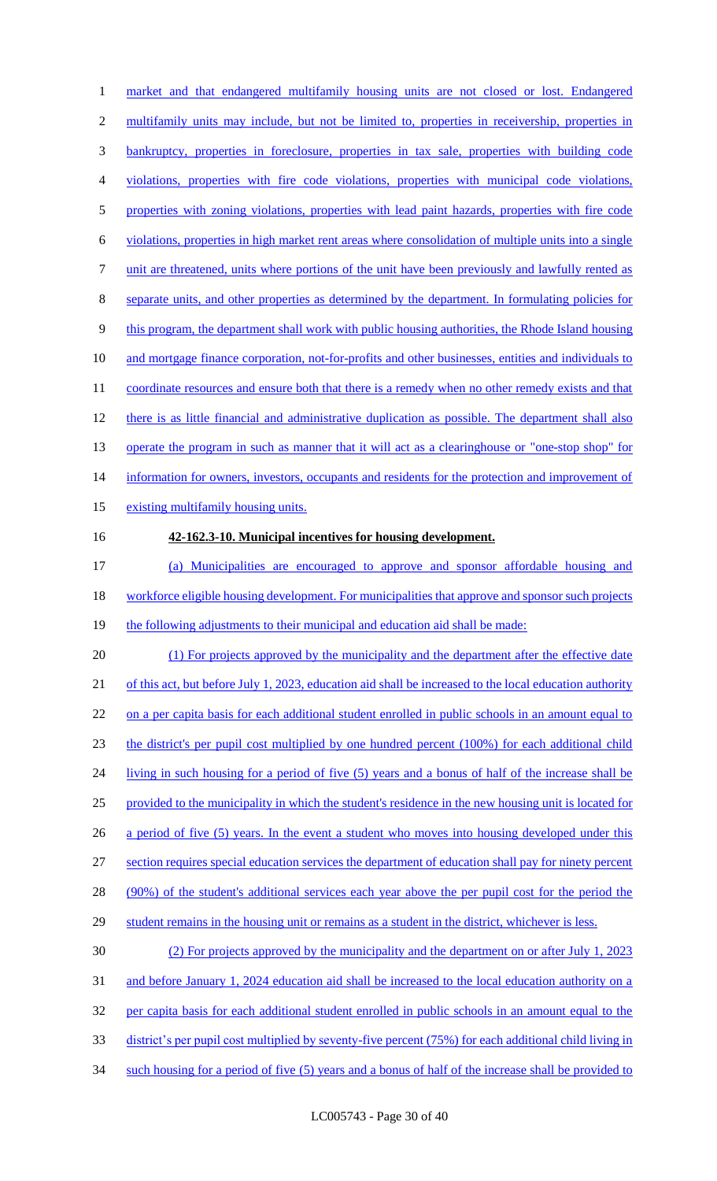market and that endangered multifamily housing units are not closed or lost. Endangered multifamily units may include, but not be limited to, properties in receivership, properties in bankruptcy, properties in foreclosure, properties in tax sale, properties with building code violations, properties with fire code violations, properties with municipal code violations, 5 properties with zoning violations, properties with lead paint hazards, properties with fire code violations, properties in high market rent areas where consolidation of multiple units into a single unit are threatened, units where portions of the unit have been previously and lawfully rented as separate units, and other properties as determined by the department. In formulating policies for this program, the department shall work with public housing authorities, the Rhode Island housing and mortgage finance corporation, not-for-profits and other businesses, entities and individuals to 11 coordinate resources and ensure both that there is a remedy when no other remedy exists and that 12 there is as little financial and administrative duplication as possible. The department shall also 13 operate the program in such as manner that it will act as a clearinghouse or "one-stop shop" for 14 information for owners, investors, occupants and residents for the protection and improvement of existing multifamily housing units. **42-162.3-10. Municipal incentives for housing development.** (a) Municipalities are encouraged to approve and sponsor affordable housing and 18 workforce eligible housing development. For municipalities that approve and sponsor such projects 19 the following adjustments to their municipal and education aid shall be made: 20 (1) For projects approved by the municipality and the department after the effective date 21 of this act, but before July 1, 2023, education aid shall be increased to the local education authority 22 on a per capita basis for each additional student enrolled in public schools in an amount equal to the district's per pupil cost multiplied by one hundred percent (100%) for each additional child living in such housing for a period of five (5) years and a bonus of half of the increase shall be provided to the municipality in which the student's residence in the new housing unit is located for 26 a period of five (5) years. In the event a student who moves into housing developed under this section requires special education services the department of education shall pay for ninety percent (90%) of the student's additional services each year above the per pupil cost for the period the 29 student remains in the housing unit or remains as a student in the district, whichever is less. (2) For projects approved by the municipality and the department on or after July 1, 2023 and before January 1, 2024 education aid shall be increased to the local education authority on a per capita basis for each additional student enrolled in public schools in an amount equal to the

- district's per pupil cost multiplied by seventy-five percent (75%) for each additional child living in
- such housing for a period of five (5) years and a bonus of half of the increase shall be provided to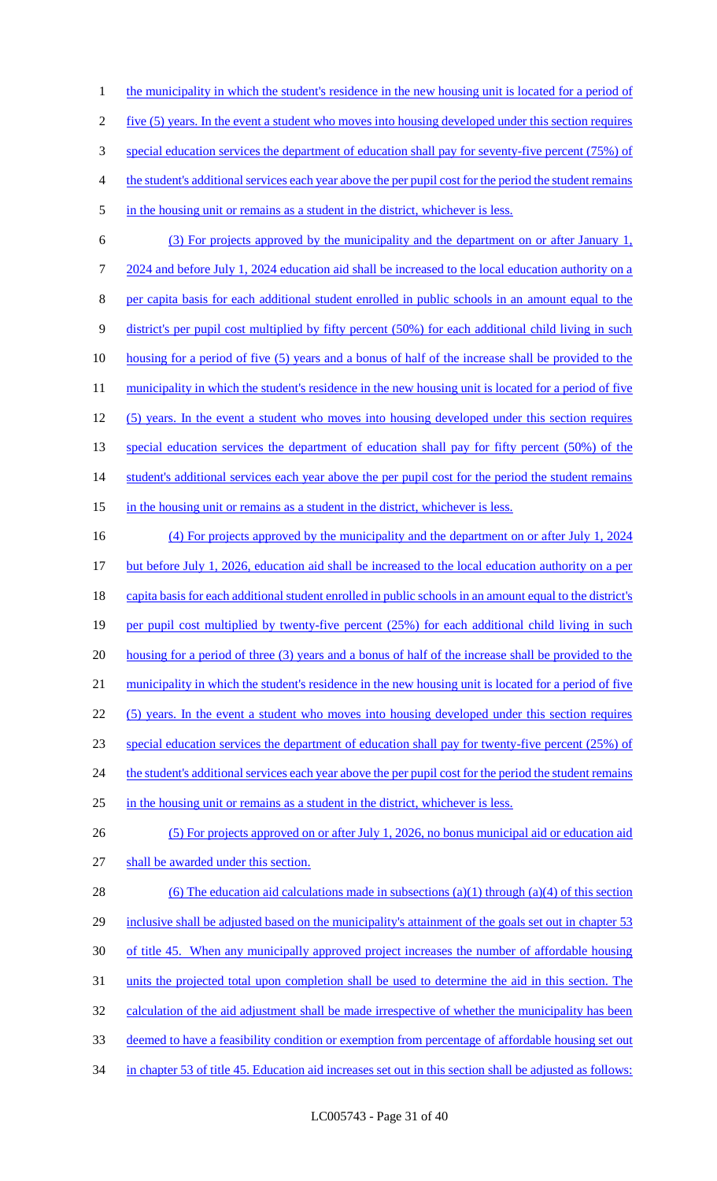1 the municipality in which the student's residence in the new housing unit is located for a period of five (5) years. In the event a student who moves into housing developed under this section requires special education services the department of education shall pay for seventy-five percent (75%) of the student's additional services each year above the per pupil cost for the period the student remains 5 in the housing unit or remains as a student in the district, whichever is less. (3) For projects approved by the municipality and the department on or after January 1,

 2024 and before July 1, 2024 education aid shall be increased to the local education authority on a per capita basis for each additional student enrolled in public schools in an amount equal to the district's per pupil cost multiplied by fifty percent (50%) for each additional child living in such housing for a period of five (5) years and a bonus of half of the increase shall be provided to the 11 municipality in which the student's residence in the new housing unit is located for a period of five (5) years. In the event a student who moves into housing developed under this section requires 13 special education services the department of education shall pay for fifty percent (50%) of the 14 student's additional services each year above the per pupil cost for the period the student remains

15 in the housing unit or remains as a student in the district, whichever is less.

 (4) For projects approved by the municipality and the department on or after July 1, 2024 but before July 1, 2026, education aid shall be increased to the local education authority on a per capita basis for each additional student enrolled in public schools in an amount equal to the district's 19 per pupil cost multiplied by twenty-five percent (25%) for each additional child living in such 20 housing for a period of three (3) years and a bonus of half of the increase shall be provided to the 21 municipality in which the student's residence in the new housing unit is located for a period of five (5) years. In the event a student who moves into housing developed under this section requires special education services the department of education shall pay for twenty-five percent (25%) of 24 the student's additional services each year above the per pupil cost for the period the student remains in the housing unit or remains as a student in the district, whichever is less. (5) For projects approved on or after July 1, 2026, no bonus municipal aid or education aid shall be awarded under this section. 28 (6) The education aid calculations made in subsections (a)(1) through (a)(4) of this section 29 inclusive shall be adjusted based on the municipality's attainment of the goals set out in chapter 53 of title 45. When any municipally approved project increases the number of affordable housing units the projected total upon completion shall be used to determine the aid in this section. The 32 calculation of the aid adjustment shall be made irrespective of whether the municipality has been deemed to have a feasibility condition or exemption from percentage of affordable housing set out

34 in chapter 53 of title 45. Education aid increases set out in this section shall be adjusted as follows: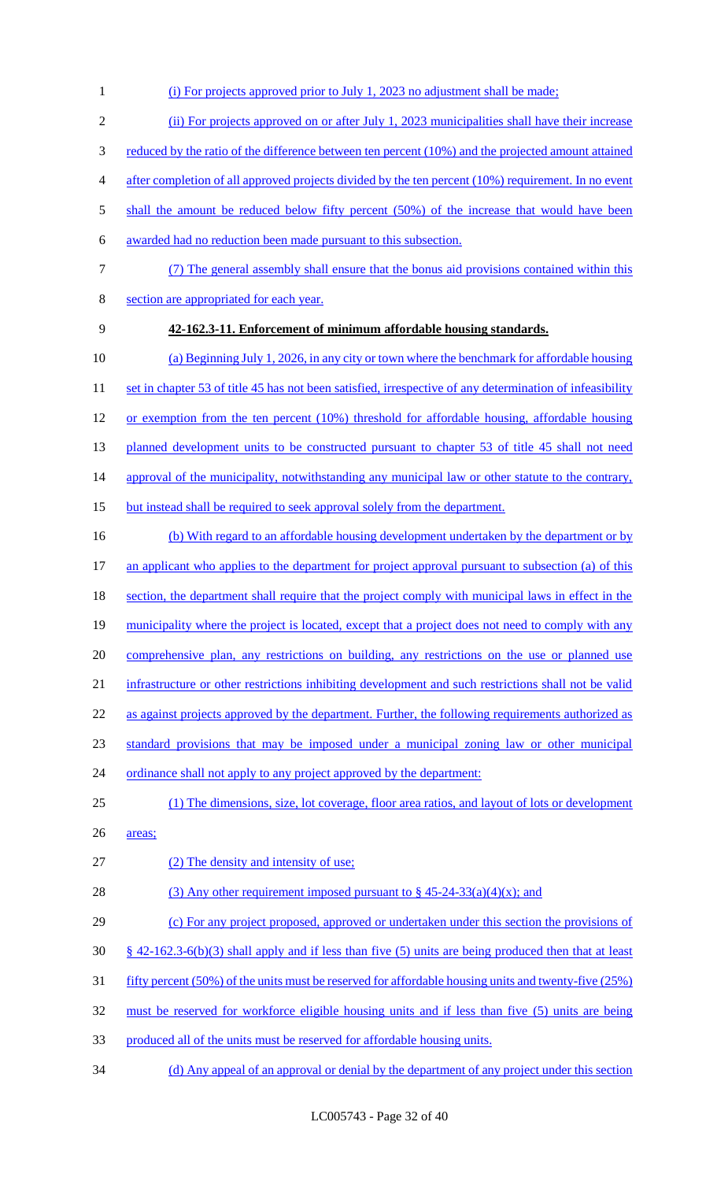- 1 (i) For projects approved prior to July 1, 2023 no adjustment shall be made;
- 2 (ii) For projects approved on or after July 1, 2023 municipalities shall have their increase
- 3 reduced by the ratio of the difference between ten percent (10%) and the projected amount attained
- 4 after completion of all approved projects divided by the ten percent (10%) requirement. In no event
- 5 shall the amount be reduced below fifty percent (50%) of the increase that would have been
- 6 awarded had no reduction been made pursuant to this subsection.
- 
- 7 (7) The general assembly shall ensure that the bonus aid provisions contained within this
- 8 section are appropriated for each year.
- 

# 9 **42-162.3-11. Enforcement of minimum affordable housing standards.**

- 10 (a) Beginning July 1, 2026, in any city or town where the benchmark for affordable housing 11 set in chapter 53 of title 45 has not been satisfied, irrespective of any determination of infeasibility 12 or exemption from the ten percent (10%) threshold for affordable housing, affordable housing 13 planned development units to be constructed pursuant to chapter 53 of title 45 shall not need 14 approval of the municipality, notwithstanding any municipal law or other statute to the contrary, 15 but instead shall be required to seek approval solely from the department.
- 16 (b) With regard to an affordable housing development undertaken by the department or by 17 an applicant who applies to the department for project approval pursuant to subsection (a) of this 18 section, the department shall require that the project comply with municipal laws in effect in the 19 municipality where the project is located, except that a project does not need to comply with any 20 comprehensive plan, any restrictions on building, any restrictions on the use or planned use 21 infrastructure or other restrictions inhibiting development and such restrictions shall not be valid 22 as against projects approved by the department. Further, the following requirements authorized as 23 standard provisions that may be imposed under a municipal zoning law or other municipal 24 ordinance shall not apply to any project approved by the department: 25 (1) The dimensions, size, lot coverage, floor area ratios, and layout of lots or development 26 areas; 27 (2) The density and intensity of use; 28 (3) Any other requirement imposed pursuant to  $\frac{8}{9}$  45-24-33(a)(4)(x); and 29 (c) For any project proposed, approved or undertaken under this section the provisions of
- $30\frac{\text{S}}{3}$  42-162.3-6(b)(3) shall apply and if less than five (5) units are being produced then that at least
- 31 fifty percent (50%) of the units must be reserved for affordable housing units and twenty-five (25%)
- 32 must be reserved for workforce eligible housing units and if less than five (5) units are being
- 33 produced all of the units must be reserved for affordable housing units.
- 34 (d) Any appeal of an approval or denial by the department of any project under this section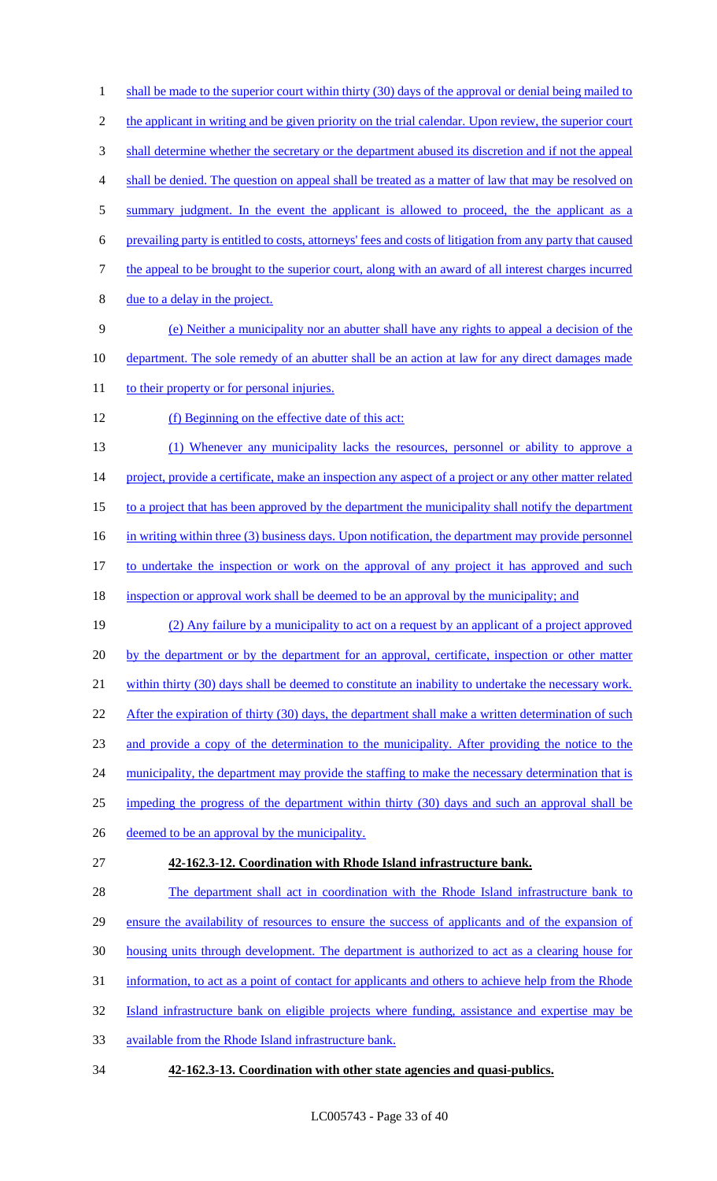1 shall be made to the superior court within thirty (30) days of the approval or denial being mailed to 2 the applicant in writing and be given priority on the trial calendar. Upon review, the superior court 3 shall determine whether the secretary or the department abused its discretion and if not the appeal 4 shall be denied. The question on appeal shall be treated as a matter of law that may be resolved on 5 summary judgment. In the event the applicant is allowed to proceed, the the applicant as a 6 prevailing party is entitled to costs, attorneys' fees and costs of litigation from any party that caused 7 the appeal to be brought to the superior court, along with an award of all interest charges incurred 8 due to a delay in the project. 9 (e) Neither a municipality nor an abutter shall have any rights to appeal a decision of the 10 department. The sole remedy of an abutter shall be an action at law for any direct damages made 11 to their property or for personal injuries. 12 (f) Beginning on the effective date of this act: 13 (1) Whenever any municipality lacks the resources, personnel or ability to approve a 14 project, provide a certificate, make an inspection any aspect of a project or any other matter related 15 to a project that has been approved by the department the municipality shall notify the department 16 in writing within three (3) business days. Upon notification, the department may provide personnel 17 to undertake the inspection or work on the approval of any project it has approved and such 18 inspection or approval work shall be deemed to be an approval by the municipality; and 19 (2) Any failure by a municipality to act on a request by an applicant of a project approved 20 by the department or by the department for an approval, certificate, inspection or other matter 21 within thirty (30) days shall be deemed to constitute an inability to undertake the necessary work. 22 After the expiration of thirty (30) days, the department shall make a written determination of such 23 and provide a copy of the determination to the municipality. After providing the notice to the 24 municipality, the department may provide the staffing to make the necessary determination that is 25 impeding the progress of the department within thirty (30) days and such an approval shall be 26 deemed to be an approval by the municipality. 27 **42-162.3-12. Coordination with Rhode Island infrastructure bank.** 28 The department shall act in coordination with the Rhode Island infrastructure bank to 29 ensure the availability of resources to ensure the success of applicants and of the expansion of 30 housing units through development. The department is authorized to act as a clearing house for 31 information, to act as a point of contact for applicants and others to achieve help from the Rhode 32 Island infrastructure bank on eligible projects where funding, assistance and expertise may be 33 available from the Rhode Island infrastructure bank. 34 **42-162.3-13. Coordination with other state agencies and quasi-publics.**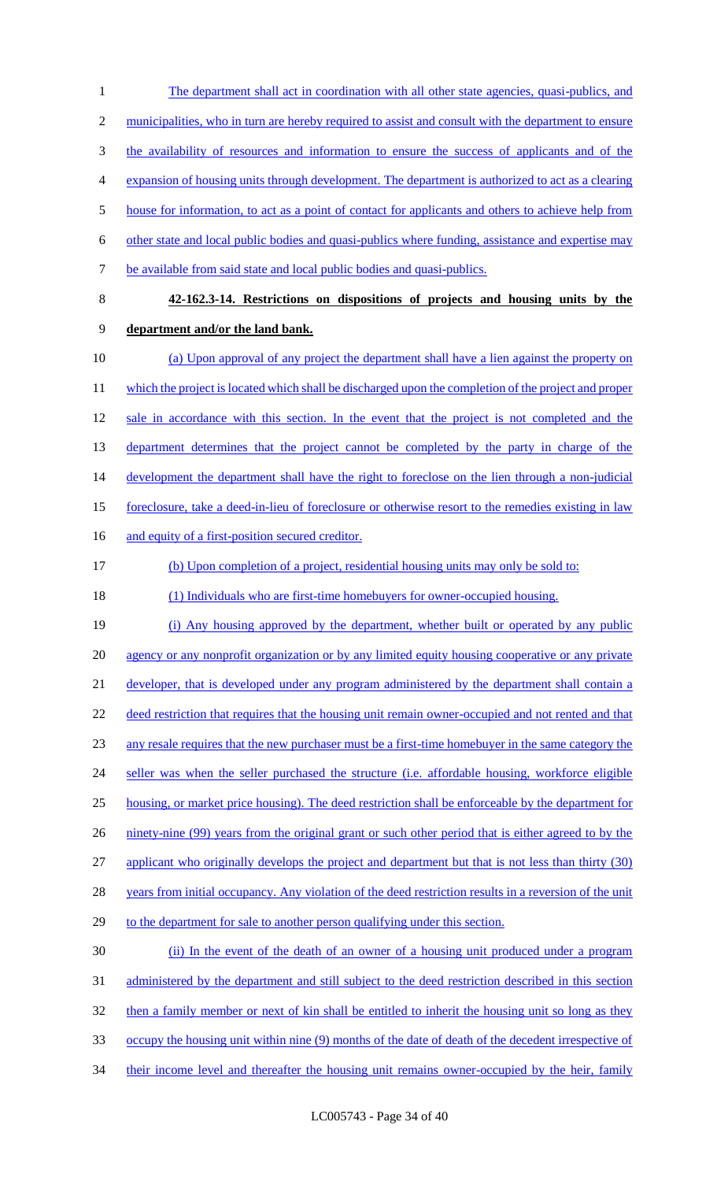1 The department shall act in coordination with all other state agencies, quasi-publics, and 2 municipalities, who in turn are hereby required to assist and consult with the department to ensure 3 the availability of resources and information to ensure the success of applicants and of the 4 expansion of housing units through development. The department is authorized to act as a clearing 5 house for information, to act as a point of contact for applicants and others to achieve help from 6 other state and local public bodies and quasi-publics where funding, assistance and expertise may 7 be available from said state and local public bodies and quasi-publics. 8 **42-162.3-14. Restrictions on dispositions of projects and housing units by the**  9 **department and/or the land bank.** 10 (a) Upon approval of any project the department shall have a lien against the property on 11 which the project is located which shall be discharged upon the completion of the project and proper 12 sale in accordance with this section. In the event that the project is not completed and the 13 department determines that the project cannot be completed by the party in charge of the 14 development the department shall have the right to foreclose on the lien through a non-judicial 15 foreclosure, take a deed-in-lieu of foreclosure or otherwise resort to the remedies existing in law 16 and equity of a first-position secured creditor. 17 (b) Upon completion of a project, residential housing units may only be sold to: 18 (1) Individuals who are first-time homebuyers for owner-occupied housing. 19 (i) Any housing approved by the department, whether built or operated by any public 20 agency or any nonprofit organization or by any limited equity housing cooperative or any private 21 developer, that is developed under any program administered by the department shall contain a 22 deed restriction that requires that the housing unit remain owner-occupied and not rented and that 23 any resale requires that the new purchaser must be a first-time homebuyer in the same category the 24 seller was when the seller purchased the structure (i.e. affordable housing, workforce eligible 25 housing, or market price housing). The deed restriction shall be enforceable by the department for 26 ninety-nine (99) years from the original grant or such other period that is either agreed to by the 27 applicant who originally develops the project and department but that is not less than thirty (30) 28 years from initial occupancy. Any violation of the deed restriction results in a reversion of the unit

29 to the department for sale to another person qualifying under this section.

30 (ii) In the event of the death of an owner of a housing unit produced under a program 31 administered by the department and still subject to the deed restriction described in this section 32 then a family member or next of kin shall be entitled to inherit the housing unit so long as they 33 occupy the housing unit within nine (9) months of the date of death of the decedent irrespective of 34 their income level and thereafter the housing unit remains owner-occupied by the heir, family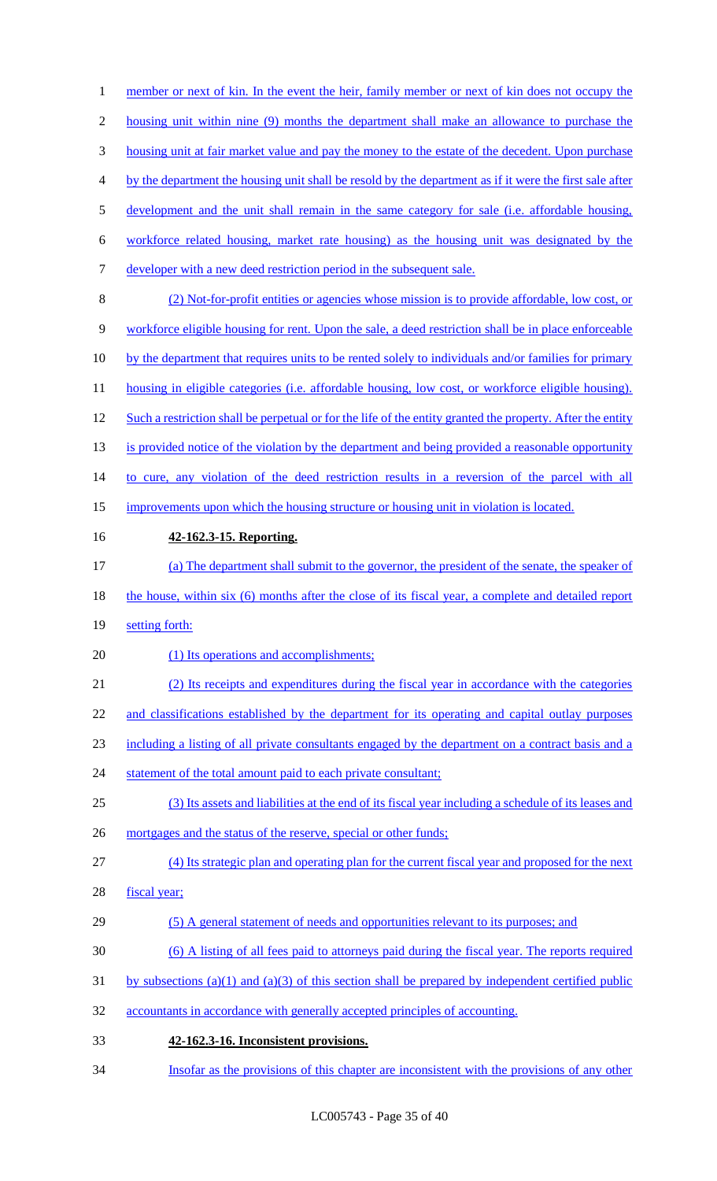1 member or next of kin. In the event the heir, family member or next of kin does not occupy the housing unit within nine (9) months the department shall make an allowance to purchase the housing unit at fair market value and pay the money to the estate of the decedent. Upon purchase by the department the housing unit shall be resold by the department as if it were the first sale after 5 development and the unit shall remain in the same category for sale (i.e. affordable housing, workforce related housing, market rate housing) as the housing unit was designated by the developer with a new deed restriction period in the subsequent sale. (2) Not-for-profit entities or agencies whose mission is to provide affordable, low cost, or workforce eligible housing for rent. Upon the sale, a deed restriction shall be in place enforceable by the department that requires units to be rented solely to individuals and/or families for primary 11 housing in eligible categories (i.e. affordable housing, low cost, or workforce eligible housing). 12 Such a restriction shall be perpetual or for the life of the entity granted the property. After the entity 13 is provided notice of the violation by the department and being provided a reasonable opportunity 14 to cure, any violation of the deed restriction results in a reversion of the parcel with all improvements upon which the housing structure or housing unit in violation is located. **42-162.3-15. Reporting.** (a) The department shall submit to the governor, the president of the senate, the speaker of 18 the house, within six (6) months after the close of its fiscal year, a complete and detailed report setting forth: 20 (1) Its operations and accomplishments; (2) Its receipts and expenditures during the fiscal year in accordance with the categories 22 and classifications established by the department for its operating and capital outlay purposes including a listing of all private consultants engaged by the department on a contract basis and a 24 statement of the total amount paid to each private consultant; (3) Its assets and liabilities at the end of its fiscal year including a schedule of its leases and 26 mortgages and the status of the reserve, special or other funds; (4) Its strategic plan and operating plan for the current fiscal year and proposed for the next fiscal year; (5) A general statement of needs and opportunities relevant to its purposes; and (6) A listing of all fees paid to attorneys paid during the fiscal year. The reports required 31 by subsections (a)(1) and (a)(3) of this section shall be prepared by independent certified public accountants in accordance with generally accepted principles of accounting. **42-162.3-16. Inconsistent provisions.**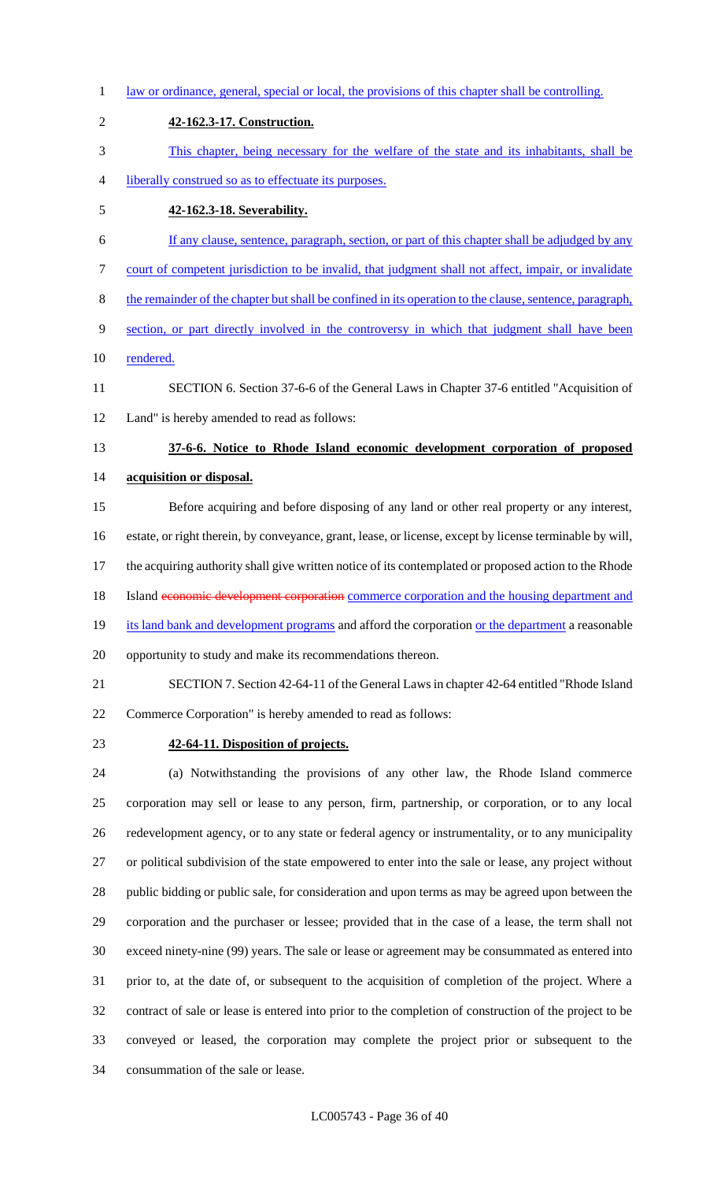- law or ordinance, general, special or local, the provisions of this chapter shall be controlling. **42-162.3-17. Construction.** This chapter, being necessary for the welfare of the state and its inhabitants, shall be liberally construed so as to effectuate its purposes. **42-162.3-18. Severability.** If any clause, sentence, paragraph, section, or part of this chapter shall be adjudged by any court of competent jurisdiction to be invalid, that judgment shall not affect, impair, or invalidate the remainder of the chapter but shall be confined in its operation to the clause, sentence, paragraph, section, or part directly involved in the controversy in which that judgment shall have been rendered. SECTION 6. Section 37-6-6 of the General Laws in Chapter 37-6 entitled "Acquisition of Land" is hereby amended to read as follows: **37-6-6. Notice to Rhode Island economic development corporation of proposed acquisition or disposal.** Before acquiring and before disposing of any land or other real property or any interest, estate, or right therein, by conveyance, grant, lease, or license, except by license terminable by will, the acquiring authority shall give written notice of its contemplated or proposed action to the Rhode 18 Island economic development corporation commerce corporation and the housing department and
- 
- 19 its land bank and development programs and afford the corporation or the department a reasonable
- opportunity to study and make its recommendations thereon.
- SECTION 7. Section 42-64-11 of the General Laws in chapter 42-64 entitled "Rhode Island Commerce Corporation" is hereby amended to read as follows:
- 

# **42-64-11. Disposition of projects.**

 (a) Notwithstanding the provisions of any other law, the Rhode Island commerce corporation may sell or lease to any person, firm, partnership, or corporation, or to any local redevelopment agency, or to any state or federal agency or instrumentality, or to any municipality or political subdivision of the state empowered to enter into the sale or lease, any project without public bidding or public sale, for consideration and upon terms as may be agreed upon between the corporation and the purchaser or lessee; provided that in the case of a lease, the term shall not exceed ninety-nine (99) years. The sale or lease or agreement may be consummated as entered into prior to, at the date of, or subsequent to the acquisition of completion of the project. Where a contract of sale or lease is entered into prior to the completion of construction of the project to be conveyed or leased, the corporation may complete the project prior or subsequent to the consummation of the sale or lease.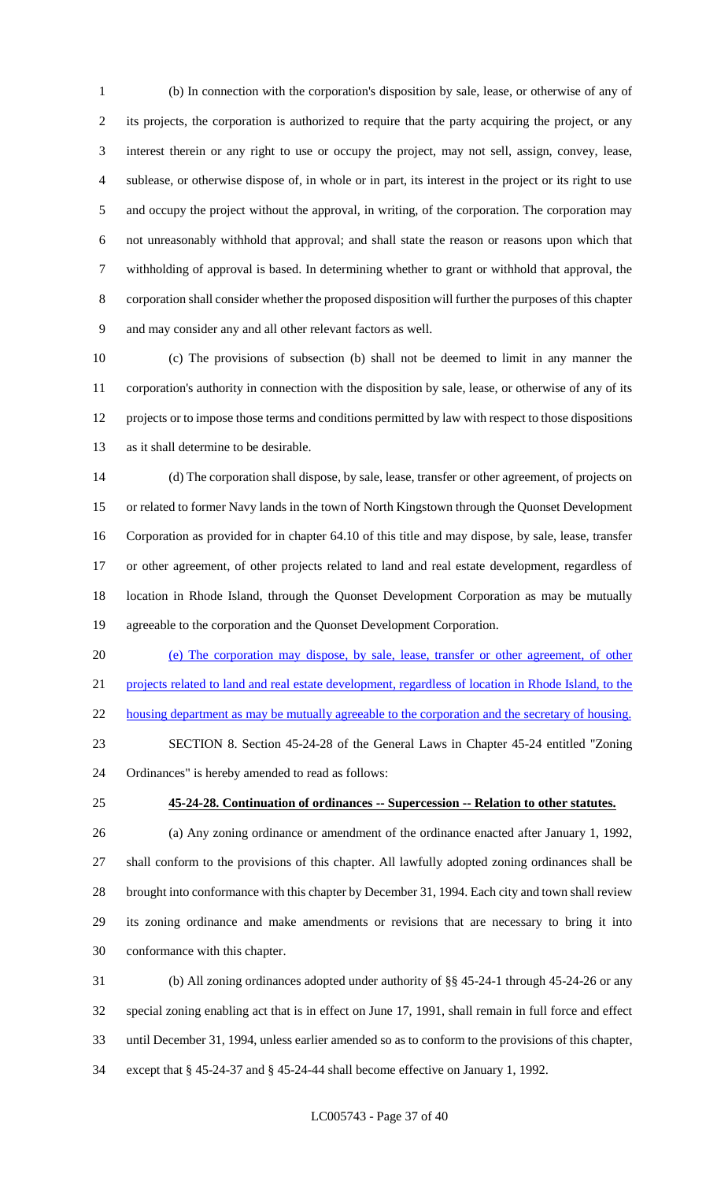(b) In connection with the corporation's disposition by sale, lease, or otherwise of any of its projects, the corporation is authorized to require that the party acquiring the project, or any interest therein or any right to use or occupy the project, may not sell, assign, convey, lease, sublease, or otherwise dispose of, in whole or in part, its interest in the project or its right to use and occupy the project without the approval, in writing, of the corporation. The corporation may not unreasonably withhold that approval; and shall state the reason or reasons upon which that withholding of approval is based. In determining whether to grant or withhold that approval, the corporation shall consider whether the proposed disposition will further the purposes of this chapter and may consider any and all other relevant factors as well.

 (c) The provisions of subsection (b) shall not be deemed to limit in any manner the corporation's authority in connection with the disposition by sale, lease, or otherwise of any of its projects or to impose those terms and conditions permitted by law with respect to those dispositions as it shall determine to be desirable.

 (d) The corporation shall dispose, by sale, lease, transfer or other agreement, of projects on or related to former Navy lands in the town of North Kingstown through the Quonset Development Corporation as provided for in chapter 64.10 of this title and may dispose, by sale, lease, transfer or other agreement, of other projects related to land and real estate development, regardless of location in Rhode Island, through the Quonset Development Corporation as may be mutually agreeable to the corporation and the Quonset Development Corporation.

 (e) The corporation may dispose, by sale, lease, transfer or other agreement, of other projects related to land and real estate development, regardless of location in Rhode Island, to the 22 housing department as may be mutually agreeable to the corporation and the secretary of housing.

- SECTION 8. Section 45-24-28 of the General Laws in Chapter 45-24 entitled "Zoning Ordinances" is hereby amended to read as follows:
- 

# **45-24-28. Continuation of ordinances -- Supercession -- Relation to other statutes.**

- (a) Any zoning ordinance or amendment of the ordinance enacted after January 1, 1992, shall conform to the provisions of this chapter. All lawfully adopted zoning ordinances shall be brought into conformance with this chapter by December 31, 1994. Each city and town shall review its zoning ordinance and make amendments or revisions that are necessary to bring it into conformance with this chapter.
- (b) All zoning ordinances adopted under authority of §§ 45-24-1 through 45-24-26 or any special zoning enabling act that is in effect on June 17, 1991, shall remain in full force and effect until December 31, 1994, unless earlier amended so as to conform to the provisions of this chapter, except that § 45-24-37 and § 45-24-44 shall become effective on January 1, 1992.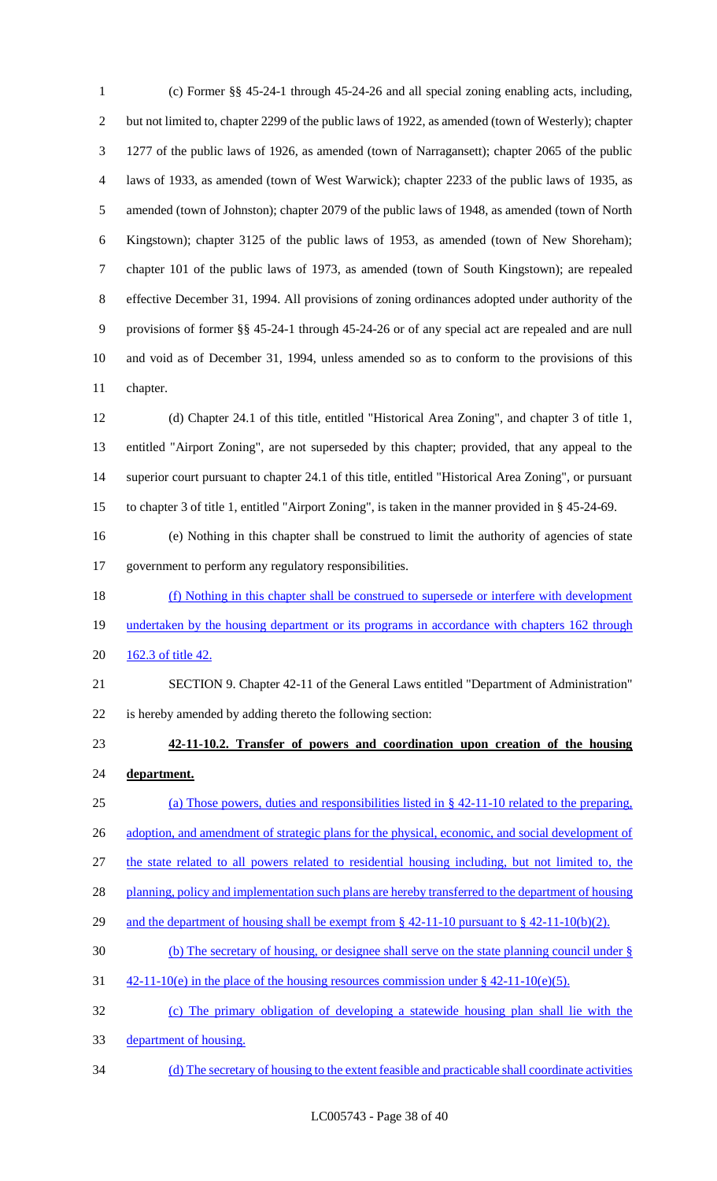(c) Former §§ 45-24-1 through 45-24-26 and all special zoning enabling acts, including, but not limited to, chapter 2299 of the public laws of 1922, as amended (town of Westerly); chapter 1277 of the public laws of 1926, as amended (town of Narragansett); chapter 2065 of the public laws of 1933, as amended (town of West Warwick); chapter 2233 of the public laws of 1935, as amended (town of Johnston); chapter 2079 of the public laws of 1948, as amended (town of North Kingstown); chapter 3125 of the public laws of 1953, as amended (town of New Shoreham); chapter 101 of the public laws of 1973, as amended (town of South Kingstown); are repealed effective December 31, 1994. All provisions of zoning ordinances adopted under authority of the provisions of former §§ 45-24-1 through 45-24-26 or of any special act are repealed and are null and void as of December 31, 1994, unless amended so as to conform to the provisions of this chapter.

 (d) Chapter 24.1 of this title, entitled "Historical Area Zoning", and chapter 3 of title 1, entitled "Airport Zoning", are not superseded by this chapter; provided, that any appeal to the superior court pursuant to chapter 24.1 of this title, entitled "Historical Area Zoning", or pursuant to chapter 3 of title 1, entitled "Airport Zoning", is taken in the manner provided in § 45-24-69.

 (e) Nothing in this chapter shall be construed to limit the authority of agencies of state government to perform any regulatory responsibilities.

 (f) Nothing in this chapter shall be construed to supersede or interfere with development 19 undertaken by the housing department or its programs in accordance with chapters 162 through 20 162.3 of title 42.

 SECTION 9. Chapter 42-11 of the General Laws entitled "Department of Administration" is hereby amended by adding thereto the following section:

- **42-11-10.2. Transfer of powers and coordination upon creation of the housing**
- **department.**

(a) Those powers, duties and responsibilities listed in § 42-11-10 related to the preparing,

26 adoption, and amendment of strategic plans for the physical, economic, and social development of

the state related to all powers related to residential housing including, but not limited to, the

28 planning, policy and implementation such plans are hereby transferred to the department of housing

- 29 and the department of housing shall be exempt from § 42-11-10 pursuant to § 42-11-10(b)(2).
- (b) The secretary of housing, or designee shall serve on the state planning council under §
- 31  $\frac{42-11-10(e)}{2}$  in the place of the housing resources commission under § 42-11-10(e)(5).
- (c) The primary obligation of developing a statewide housing plan shall lie with the
- department of housing.
- (d) The secretary of housing to the extent feasible and practicable shall coordinate activities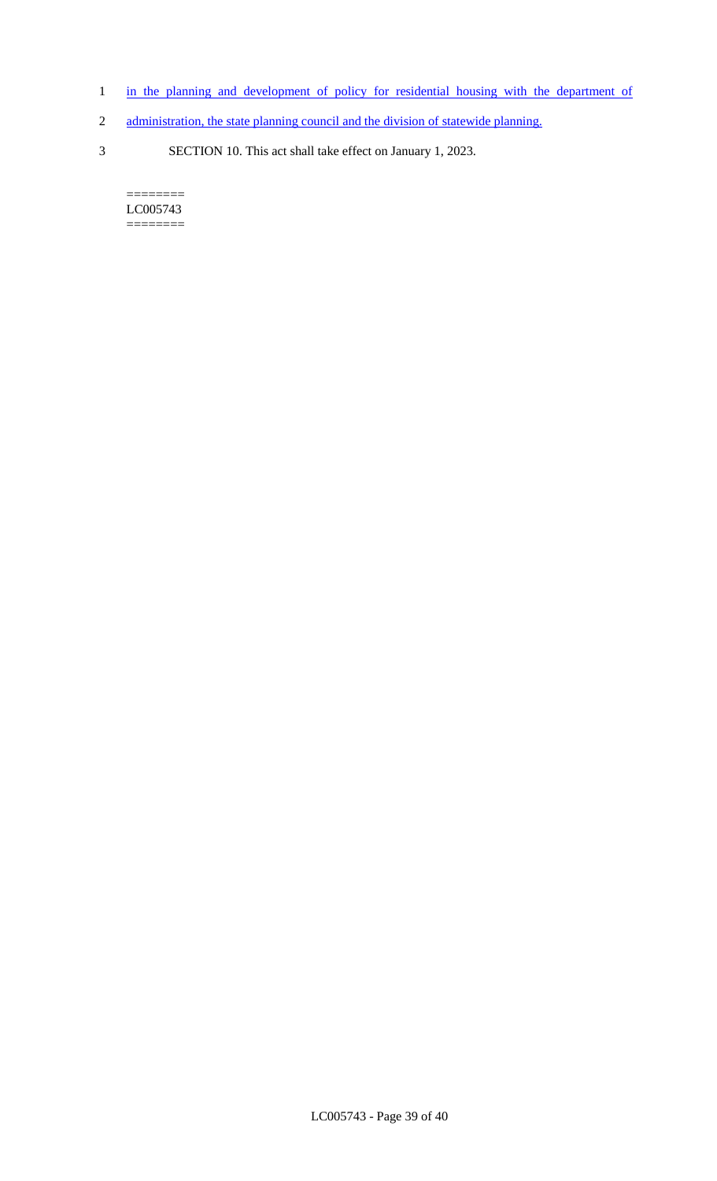- 1 in the planning and development of policy for residential housing with the department of
- 2 administration, the state planning council and the division of statewide planning.
- 3 SECTION 10. This act shall take effect on January 1, 2023.

 $=$ LC005743 ========